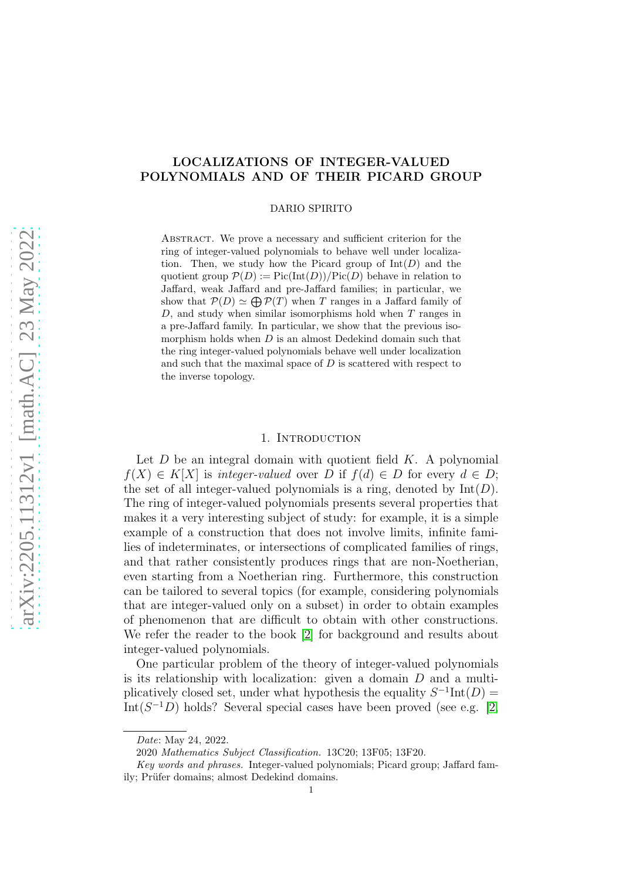# LOCALIZATIONS OF INTEGER-VALUED POLYNOMIALS AND OF THEIR PICARD GROUP

DARIO SPIRITO

Abstract. We prove a necessary and sufficient criterion for the ring of integer-valued polynomials to behave well under localization. Then, we study how the Picard group of  $Int(D)$  and the quotient group  $\mathcal{P}(D) := Pic(Int(D))/Pic(D)$  behave in relation to Jaffard, weak Jaffard and pre-Jaffard families; in particular, we show that  $\mathcal{P}(D) \simeq \bigoplus \mathcal{P}(T)$  when T ranges in a Jaffard family of  $D$ , and study when similar isomorphisms hold when  $T$  ranges in a pre-Jaffard family. In particular, we show that the previous isomorphism holds when  $D$  is an almost Dedekind domain such that the ring integer-valued polynomials behave well under localization and such that the maximal space of  $D$  is scattered with respect to the inverse topology.

## 1. INTRODUCTION

Let  $D$  be an integral domain with quotient field  $K$ . A polynomial  $f(X) \in K[X]$  is integer-valued over D if  $f(d) \in D$  for every  $d \in D$ ; the set of all integer-valued polynomials is a ring, denoted by  $Int(D)$ . The ring of integer-valued polynomials presents several properties that makes it a very interesting subject of study: for example, it is a simple example of a construction that does not involve limits, infinite families of indeterminates, or intersections of complicated families of rings, and that rather consistently produces rings that are non-Noetherian, even starting from a Noetherian ring. Furthermore, this construction can be tailored to several topics (for example, considering polynomials that are integer-valued only on a subset) in order to obtain examples of phenomenon that are difficult to obtain with other constructions. We refer the reader to the book [\[2\]](#page-22-0) for background and results about integer-valued polynomials.

One particular problem of the theory of integer-valued polynomials is its relationship with localization: given a domain  $D$  and a multiplicatively closed set, under what hypothesis the equality  $S^{-1}\text{Int}(D) =$ Int( $S^{-1}D$ ) holds? Several special cases have been proved (see e.g. [\[2,](#page-22-0)

*Date*: May 24, 2022.

<sup>2020</sup> *Mathematics Subject Classification.* 13C20; 13F05; 13F20.

*Key words and phrases.* Integer-valued polynomials; Picard group; Jaffard family; Prüfer domains; almost Dedekind domains.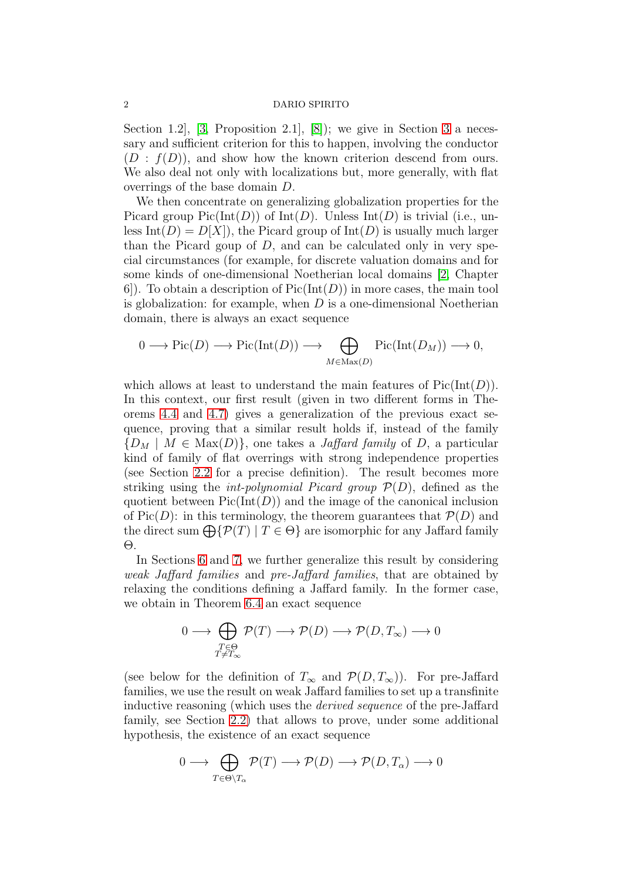Section 1.2,  $[3,$  Proposition 2.1,  $[8]$ ; we give in Section [3](#page-4-0) a necessary and sufficient criterion for this to happen, involving the conductor  $(D : f(D))$ , and show how the known criterion descend from ours. We also deal not only with localizations but, more generally, with flat overrings of the base domain D.

We then concentrate on generalizing globalization properties for the Picard group  $Pic(Int(D))$  of  $Int(D)$ . Unless  $Int(D)$  is trivial (i.e., unless Int(D) =  $D[X]$ , the Picard group of Int(D) is usually much larger than the Picard goup of  $D$ , and can be calculated only in very special circumstances (for example, for discrete valuation domains and for some kinds of one-dimensional Noetherian local domains [\[2,](#page-22-0) Chapter 6. To obtain a description of  $Pic(Int(D))$  in more cases, the main tool is globalization: for example, when  $D$  is a one-dimensional Noetherian domain, there is always an exact sequence

$$
0 \longrightarrow Pic(D) \longrightarrow Pic(Int(D)) \longrightarrow \bigoplus_{M \in Max(D)} Pic(Int(D_M)) \longrightarrow 0,
$$

which allows at least to understand the main features of  $Pic(Int(D)).$ In this context, our first result (given in two different forms in Theorems [4.4](#page-8-0) and [4.7\)](#page-10-0) gives a generalization of the previous exact sequence, proving that a similar result holds if, instead of the family  ${D_M \mid M \in \text{Max}(D)}$ , one takes a *Jaffard family* of D, a particular kind of family of flat overrings with strong independence properties (see Section [2.2](#page-3-0) for a precise definition). The result becomes more striking using the *int-polynomial Picard group*  $\mathcal{P}(D)$ , defined as the quotient between  $Pic(Int(D))$  and the image of the canonical inclusion of Pic(D): in this terminology, the theorem guarantees that  $\mathcal{P}(D)$  and the direct sum  $\bigoplus \{ \mathcal{P}(T) \mid T \in \Theta \}$  are isomorphic for any Jaffard family Θ.

In Sections [6](#page-15-0) and [7,](#page-18-0) we further generalize this result by considering weak Jaffard families and pre-Jaffard families, that are obtained by relaxing the conditions defining a Jaffard family. In the former case, we obtain in Theorem [6.4](#page-17-0) an exact sequence

$$
0 \longrightarrow \bigoplus_{\substack{T \in \Theta \\ T \neq T_{\infty}}} \mathcal{P}(T) \longrightarrow \mathcal{P}(D) \longrightarrow \mathcal{P}(D, T_{\infty}) \longrightarrow 0
$$

(see below for the definition of  $T_{\infty}$  and  $\mathcal{P}(D, T_{\infty})$ ). For pre-Jaffard families, we use the result on weak Jaffard families to set up a transfinite inductive reasoning (which uses the derived sequence of the pre-Jaffard family, see Section [2.2\)](#page-3-0) that allows to prove, under some additional hypothesis, the existence of an exact sequence

$$
0 \longrightarrow \bigoplus_{T \in \Theta \setminus T_{\alpha}} \mathcal{P}(T) \longrightarrow \mathcal{P}(D) \longrightarrow \mathcal{P}(D, T_{\alpha}) \longrightarrow 0
$$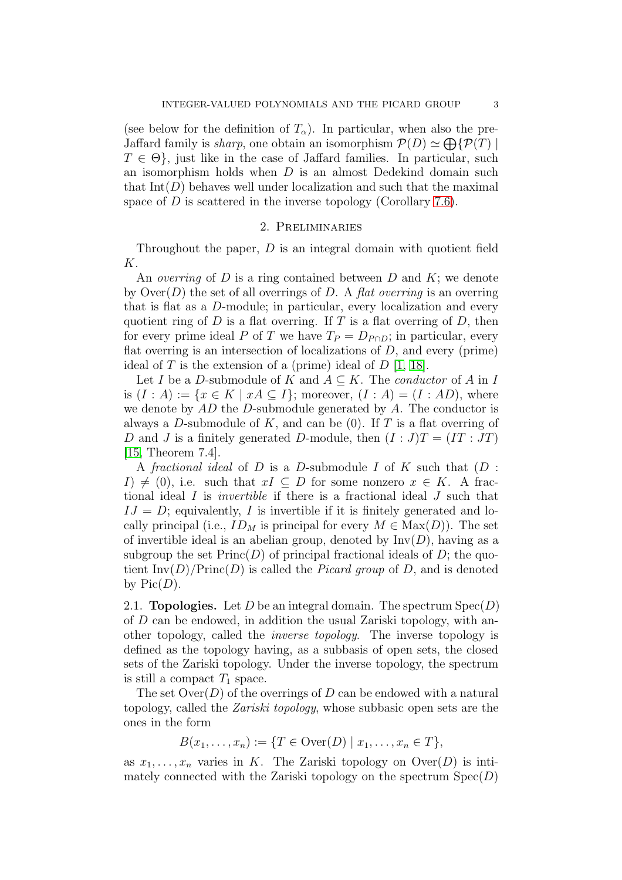(see below for the definition of  $T_{\alpha}$ ). In particular, when also the pre-Jaffard family is *sharp*, one obtain an isomorphism  $\mathcal{P}(D) \simeq \bigoplus \{ \mathcal{P}(T) \mid$  $T \in \Theta$ , just like in the case of Jaffard families. In particular, such an isomorphism holds when D is an almost Dedekind domain such that  $Int(D)$  behaves well under localization and such that the maximal space of  $D$  is scattered in the inverse topology (Corollary [7.6\)](#page-21-0).

## 2. Preliminaries

Throughout the paper, D is an integral domain with quotient field K.

An *overring* of D is a ring contained between D and K; we denote by  $\text{Over}(D)$  the set of all overrings of D. A flat overring is an overring that is flat as a D-module; in particular, every localization and every quotient ring of  $D$  is a flat overring. If  $T$  is a flat overring of  $D$ , then for every prime ideal P of T we have  $T_P = D_{P \cap D}$ ; in particular, every flat overring is an intersection of localizations of  $D$ , and every (prime) ideal of T is the extension of a (prime) ideal of  $D$  [\[1,](#page-21-1) [18\]](#page-22-3).

Let I be a D-submodule of K and  $A \subseteq K$ . The *conductor* of A in I is  $(I : A) := \{x \in K \mid xA \subseteq I\}$ ; moreover,  $(I : A) = (I : AD)$ , where we denote by  $AD$  the  $D$ -submodule generated by  $A$ . The conductor is always a D-submodule of K, and can be  $(0)$ . If T is a flat overring of D and J is a finitely generated D-module, then  $(I : J)T = (IT : JT)$ [\[15,](#page-22-4) Theorem 7.4].

A fractional ideal of D is a D-submodule I of K such that  $(D :$  $I) \neq (0)$ , i.e. such that  $xI \subseteq D$  for some nonzero  $x \in K$ . A fractional ideal I is invertible if there is a fractional ideal J such that  $IJ = D$ ; equivalently, I is invertible if it is finitely generated and locally principal (i.e.,  $ID_M$  is principal for every  $M \in Max(D)$ ). The set of invertible ideal is an abelian group, denoted by  $Inv(D)$ , having as a subgroup the set  $Princ(D)$  of principal fractional ideals of D; the quotient  $\text{Inv}(D)/\text{Princ}(D)$  is called the *Picard group* of D, and is denoted by  $Pic(D)$ .

2.1. **Topologies.** Let D be an integral domain. The spectrum  $Spec(D)$ of D can be endowed, in addition the usual Zariski topology, with another topology, called the inverse topology. The inverse topology is defined as the topology having, as a subbasis of open sets, the closed sets of the Zariski topology. Under the inverse topology, the spectrum is still a compact  $T_1$  space.

The set  $\text{Over}(D)$  of the overrings of D can be endowed with a natural topology, called the Zariski topology, whose subbasic open sets are the ones in the form

 $B(x_1, ..., x_n) := \{T \in \text{Over}(D) \mid x_1, ..., x_n \in T\},\$ 

as  $x_1, \ldots, x_n$  varies in K. The Zariski topology on  $\text{Over}(D)$  is intimately connected with the Zariski topology on the spectrum  $Spec(D)$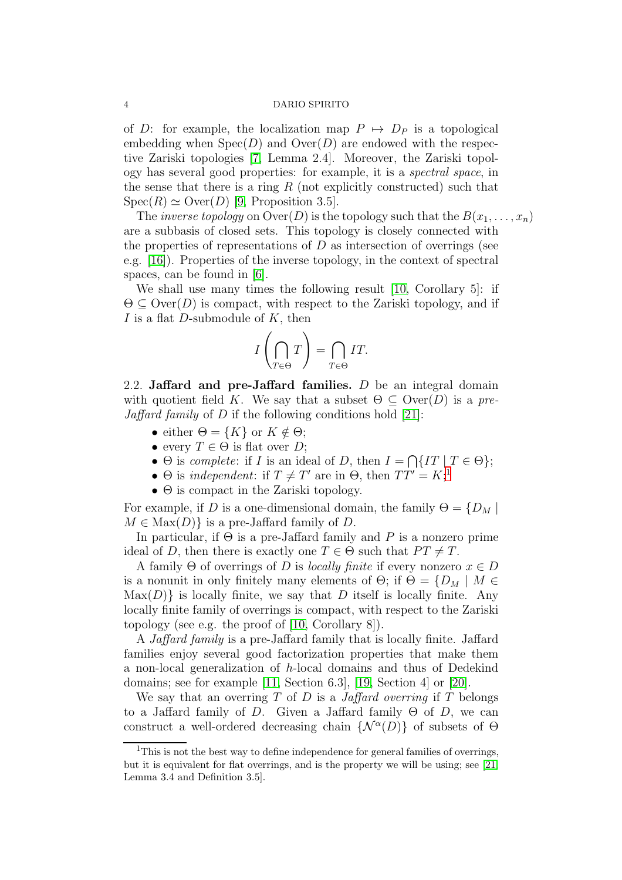of D: for example, the localization map  $P \mapsto D_P$  is a topological embedding when  $Spec(D)$  and  $Over(D)$  are endowed with the respective Zariski topologies [\[7,](#page-22-5) Lemma 2.4]. Moreover, the Zariski topology has several good properties: for example, it is a spectral space, in the sense that there is a ring  $R$  (not explicitly constructed) such that  $Spec(R) \simeq Over(D)$  [\[9,](#page-22-6) Proposition 3.5].

The *inverse topology* on  $\text{Over}(D)$  is the topology such that the  $B(x_1, \ldots, x_n)$ are a subbasis of closed sets. This topology is closely connected with the properties of representations of  $D$  as intersection of overrings (see e.g. [\[16\]](#page-22-7)). Properties of the inverse topology, in the context of spectral spaces, can be found in [\[6\]](#page-22-8).

We shall use many times the following result [\[10,](#page-22-9) Corollary 5]: if  $\Theta \subseteq \text{Over}(D)$  is compact, with respect to the Zariski topology, and if I is a flat D-submodule of  $K$ , then

$$
I\left(\bigcap_{T\in\Theta}T\right) = \bigcap_{T\in\Theta}IT.
$$

<span id="page-3-0"></span>2.2. Jaffard and pre-Jaffard families.  $D$  be an integral domain with quotient field K. We say that a subset  $\Theta \subseteq \text{Over}(D)$  is a pre-*Jaffard family* of  $D$  if the following conditions hold [\[21\]](#page-22-10):

- either  $\Theta = \{K\}$  or  $K \notin \Theta$ ;
- every  $T \in \Theta$  is flat over D;
- $\Theta$  is *complete*: if *I* is an ideal of *D*, then  $I = \bigcap \{IT \mid T \in \Theta\};$
- $\Theta$  is *independent*: if  $T \neq T'$  are in  $\Theta$ , then  $TT' = K;$ <sup>[1](#page-3-1)</sup>
- $\bullet$   $\Theta$  is compact in the Zariski topology.

For example, if D is a one-dimensional domain, the family  $\Theta = \{D_M |$  $M \in \text{Max}(D)$  is a pre-Jaffard family of D.

In particular, if  $\Theta$  is a pre-Jaffard family and P is a nonzero prime ideal of D, then there is exactly one  $T \in \Theta$  such that  $PT \neq T$ .

A family  $\Theta$  of overrings of D is locally finite if every nonzero  $x \in D$ is a nonunit in only finitely many elements of  $\Theta$ ; if  $\Theta = \{D_M \mid M \in$  $\text{Max}(D)$  is locally finite, we say that D itself is locally finite. Any locally finite family of overrings is compact, with respect to the Zariski topology (see e.g. the proof of [\[10,](#page-22-9) Corollary 8]).

A *Jaffard family* is a pre-Jaffard family that is locally finite. Jaffard families enjoy several good factorization properties that make them a non-local generalization of h-local domains and thus of Dedekind domains; see for example [\[11,](#page-22-11) Section 6.3], [\[19,](#page-22-12) Section 4] or [\[20\]](#page-22-13).

We say that an overring  $T$  of  $D$  is a *Jaffard overring* if  $T$  belongs to a Jaffard family of D. Given a Jaffard family  $\Theta$  of D, we can construct a well-ordered decreasing chain  $\{\mathcal{N}^{\alpha}(D)\}\$  of subsets of  $\Theta$ 

<span id="page-3-1"></span><sup>&</sup>lt;sup>1</sup>This is not the best way to define independence for general families of overrings, but it is equivalent for flat overrings, and is the property we will be using; see [\[21,](#page-22-10) Lemma 3.4 and Definition 3.5].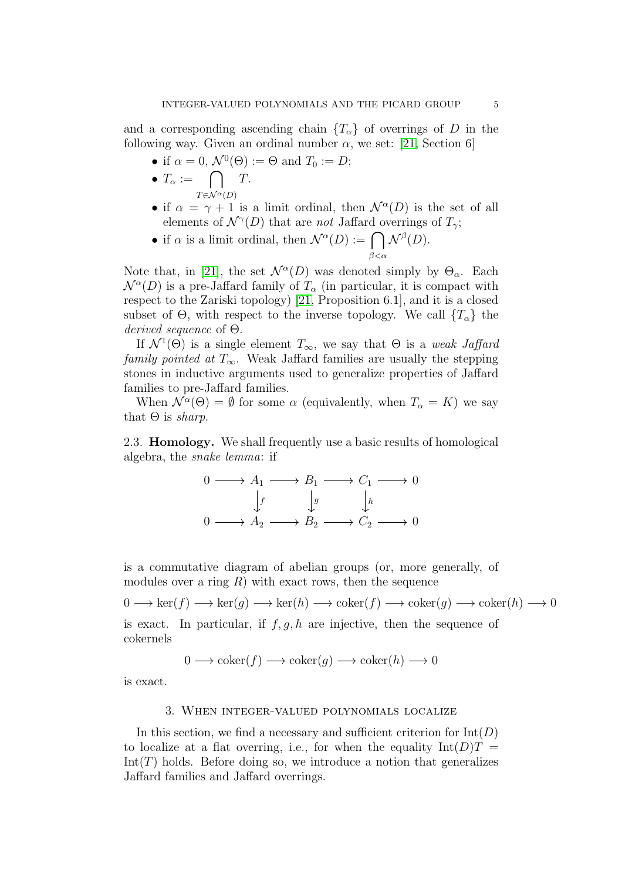and a corresponding ascending chain  $\{T_{\alpha}\}\$  of overrings of D in the following way. Given an ordinal number  $\alpha$ , we set: [\[21,](#page-22-10) Section 6]

• if 
$$
\alpha = 0
$$
,  $\mathcal{N}^0(\Theta) := \Theta$  and  $T_0 := D$ ;

- $T_{\alpha} := \bigcap$  $T \in \mathcal{N}^{\alpha}(D)$ T.
- if  $\alpha = \gamma + 1$  is a limit ordinal, then  $\mathcal{N}^{\alpha}(D)$  is the set of all elements of  $\mathcal{N}^{\gamma}(D)$  that are *not* Jaffard overrings of  $T_{\gamma}$ ;
- if  $\alpha$  is a limit ordinal, then  $\mathcal{N}^{\alpha}(D) := \bigcap \mathcal{N}^{\beta}(D)$ .  $_{\beta<\alpha}$

Note that, in [\[21\]](#page-22-10), the set  $\mathcal{N}^{\alpha}(D)$  was denoted simply by  $\Theta_{\alpha}$ . Each  $\mathcal{N}^{\alpha}(D)$  is a pre-Jaffard family of  $T_{\alpha}$  (in particular, it is compact with respect to the Zariski topology) [\[21,](#page-22-10) Proposition 6.1], and it is a closed subset of  $\Theta$ , with respect to the inverse topology. We call  $\{T_{\alpha}\}\)$  the derived sequence of Θ.

If  $\mathcal{N}^1(\Theta)$  is a single element  $T_{\infty}$ , we say that  $\Theta$  is a *weak Jaffard* family pointed at  $T_{\infty}$ . Weak Jaffard families are usually the stepping stones in inductive arguments used to generalize properties of Jaffard families to pre-Jaffard families.

When  $\mathcal{N}^{\alpha}(\Theta) = \emptyset$  for some  $\alpha$  (equivalently, when  $T_{\alpha} = K$ ) we say that  $\Theta$  is *sharp*.

2.3. Homology. We shall frequently use a basic results of homological algebra, the snake lemma: if

$$
0 \longrightarrow A_1 \longrightarrow B_1 \longrightarrow C_1 \longrightarrow 0
$$
  
\n
$$
\downarrow f \qquad \downarrow g \qquad \downarrow h
$$
  
\n
$$
0 \longrightarrow A_2 \longrightarrow B_2 \longrightarrow C_2 \longrightarrow 0
$$

is a commutative diagram of abelian groups (or, more generally, of modules over a ring  $R$ ) with exact rows, then the sequence

 $0 \longrightarrow \ker(f) \longrightarrow \ker(g) \longrightarrow \ker(h) \longrightarrow \operatorname{coker}(f) \longrightarrow \operatorname{coker}(g) \longrightarrow \operatorname{coker}(h) \longrightarrow 0$ is exact. In particular, if  $f, g, h$  are injective, then the sequence of cokernels

 $0 \longrightarrow \text{coker}(f) \longrightarrow \text{coker}(q) \longrightarrow \text{coker}(h) \longrightarrow 0$ 

<span id="page-4-0"></span>is exact.

# 3. When integer-valued polynomials localize

In this section, we find a necessary and sufficient criterion for  $Int(D)$ to localize at a flat overring, i.e., for when the equality  $Int(D)T =$  $Int(T)$  holds. Before doing so, we introduce a notion that generalizes Jaffard families and Jaffard overrings.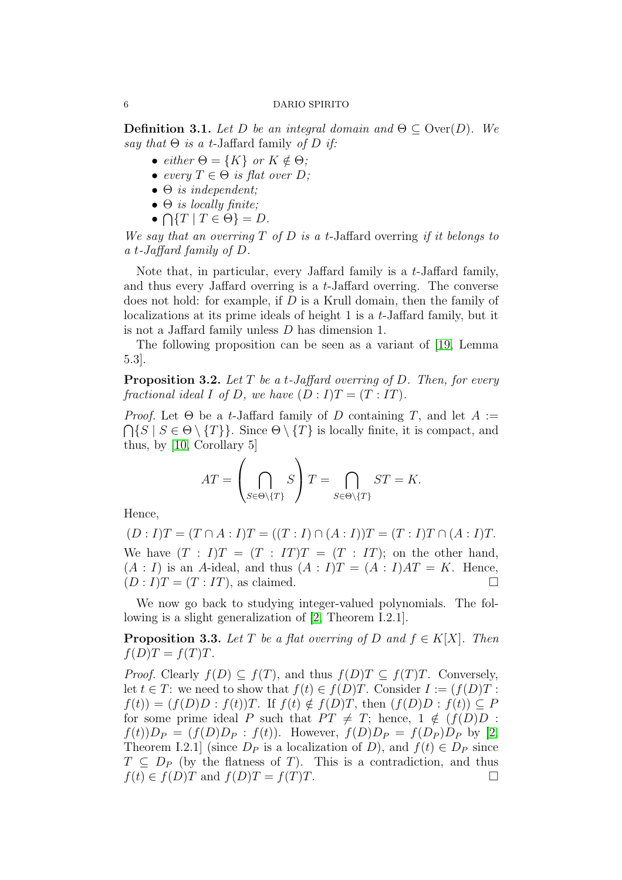**Definition 3.1.** Let D be an integral domain and  $\Theta \subseteq \text{Over}(D)$ . We say that  $\Theta$  is a t-Jaffard family of D if:

- either  $\Theta = \{K\}$  or  $K \notin \Theta$ ;
- every  $T \in \Theta$  is flat over D;
- $\bullet$   $\Theta$  is independent;
- $\bullet$   $\Theta$  is locally finite;
- $\bullet \bigcap \{T \mid T \in \Theta\} = D.$

We say that an overring  $T$  of  $D$  is a t-Jaffard overring if it belongs to a t-Jaffard family of D.

Note that, in particular, every Jaffard family is a t-Jaffard family, and thus every Jaffard overring is a t-Jaffard overring. The converse does not hold: for example, if D is a Krull domain, then the family of localizations at its prime ideals of height 1 is a t-Jaffard family, but it is not a Jaffard family unless D has dimension 1.

The following proposition can be seen as a variant of [\[19,](#page-22-12) Lemma 5.3].

**Proposition 3.2.** Let T be a t-Jaffard overring of D. Then, for every fractional ideal I of D, we have  $(D: I)T = (T:IT)$ .

*Proof.* Let  $\Theta$  be a t-Jaffard family of D containing T, and let  $A :=$  $\bigcap \{S \mid S \in \Theta \setminus \{T\}\}\.$  Since  $\Theta \setminus \{T\}$  is locally finite, it is compact, and thus, by [\[10,](#page-22-9) Corollary 5]

$$
AT = \left(\bigcap_{S \in \Theta \setminus \{T\}} S\right) T = \bigcap_{S \in \Theta \setminus \{T\}} ST = K.
$$

Hence,

 $(D : I)T = (T \cap A : I)T = ((T : I) \cap (A : I))T = (T : I)T \cap (A : I)T.$ We have  $(T : I)T = (T : IT)T = (T : IT);$  on the other hand,  $(A: I)$  is an A-ideal, and thus  $(A: I)T = (A: I)AT = K$ . Hence,  $(D: I)T = (T: IT)$ , as claimed.

We now go back to studying integer-valued polynomials. The following is a slight generalization of [\[2,](#page-22-0) Theorem I.2.1].

**Proposition 3.3.** Let T be a flat overring of D and  $f \in K[X]$ . Then  $f(D)T = f(T)T$ .

*Proof.* Clearly  $f(D) \subseteq f(T)$ , and thus  $f(D)T \subseteq f(T)T$ . Conversely, let  $t \in T$ : we need to show that  $f(t) \in f(D)T$ . Consider  $I := (f(D)T)$ :  $f(t) = (f(D)D : f(t))T$ . If  $f(t) \notin f(D)T$ , then  $(f(D)D : f(t)) \subseteq P$ for some prime ideal P such that  $PT \neq T$ ; hence,  $1 \notin (f(D)D)$ :  $f(t)$ ) $D_P = (f(D)D_P : f(t))$ . However,  $f(D)D_P = f(D_P)D_P$  by [\[2,](#page-22-0) Theorem I.2.1] (since  $D_P$  is a localization of D), and  $f(t) \in D_P$  since  $T \n\subset D_P$  (by the flatness of T). This is a contradiction, and thus  $f(t) \in f(D)T$  and  $f(D)T = f(T)T$ .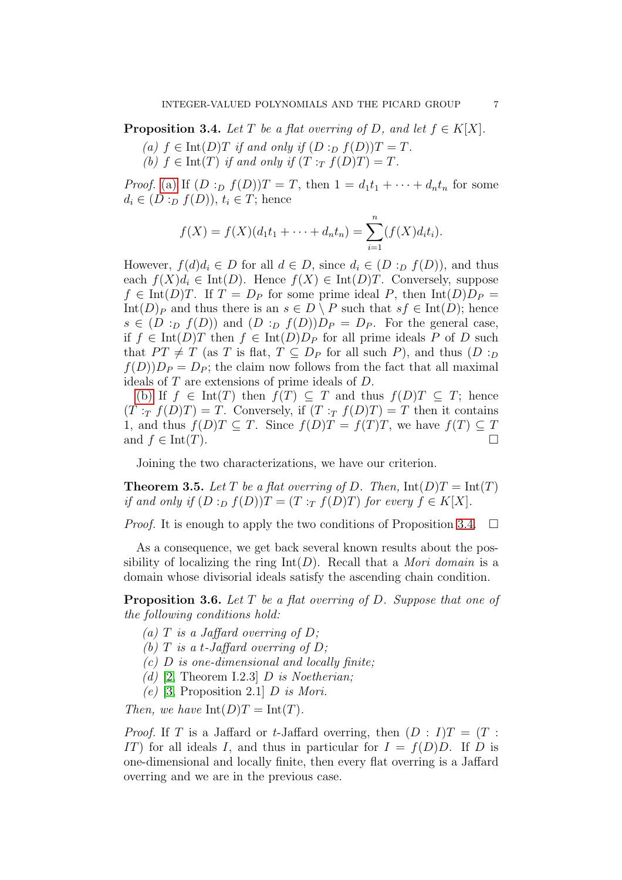<span id="page-6-2"></span><span id="page-6-0"></span>**Proposition 3.4.** Let T be a flat overring of D, and let  $f \in K[X]$ .

- <span id="page-6-1"></span>(a)  $f \in \text{Int}(D)$  if and only if  $(D :_D f(D))$   $T = T$ .
- (b)  $f \in Int(T)$  if and only if  $(T : T f(D)T) = T$ .

*Proof.* [\(a\)](#page-6-0) If  $(D :_D f(D))T = T$ , then  $1 = d_1t_1 + \cdots + d_nt_n$  for some  $d_i \in (D :_D f(D)), t_i \in T;$  hence

$$
f(X) = f(X)(d_1t_1 + \dots + d_nt_n) = \sum_{i=1}^n (f(X)d_it_i).
$$

However,  $f(d)d_i \in D$  for all  $d \in D$ , since  $d_i \in (D :_D f(D))$ , and thus each  $f(X)d_i \in \text{Int}(D)$ . Hence  $f(X) \in \text{Int}(D)$ . Conversely, suppose  $f \in \text{Int}(D)T$ . If  $T = D_P$  for some prime ideal P, then  $\text{Int}(D)D_P =$ Int(D)<sub>P</sub> and thus there is an  $s \in D \setminus P$  such that  $sf \in Int(D)$ ; hence  $s \in (D :_D f(D))$  and  $(D :_D f(D))D_P = D_P$ . For the general case, if  $f \in \text{Int}(D)T$  then  $f \in \text{Int}(D)D_P$  for all prime ideals P of D such that  $PT \neq T$  (as T is flat,  $T \subseteq D_P$  for all such P), and thus  $(D :_D$  $f(D)D_P = D_P$ ; the claim now follows from the fact that all maximal ideals of T are extensions of prime ideals of D.

[\(b\)](#page-6-1) If  $f \in \text{Int}(T)$  then  $f(T) \subseteq T$  and thus  $f(D)T \subseteq T$ ; hence  $(T : T f(D)T) = T$ . Conversely, if  $(T : T f(D)T) = T$  then it contains 1, and thus  $f(D)T \subseteq T$ . Since  $f(D)T = f(T)T$ , we have  $f(T) \subseteq T$ and  $f \in \text{Int}(T)$ .

Joining the two characterizations, we have our criterion.

**Theorem 3.5.** Let T be a flat overring of D. Then,  $Int(D)T = Int(T)$ if and only if  $(D :_D f(D))T = (T :_T f(D)T)$  for every  $f \in K[X]$ .

*Proof.* It is enough to apply the two conditions of Proposition [3.4.](#page-6-2)  $\Box$ 

As a consequence, we get back several known results about the possibility of localizing the ring  $Int(D)$ . Recall that a *Mori domain* is a domain whose divisorial ideals satisfy the ascending chain condition.

<span id="page-6-4"></span><span id="page-6-3"></span>**Proposition 3.6.** Let  $T$  be a flat overring of  $D$ . Suppose that one of the following conditions hold:

- (a) T is a Jaffard overring of D;
- (b)  $T$  is a t-Jaffard overring of  $D$ ;
- $(c)$  D is one-dimensional and locally finite;
- (d) [\[2,](#page-22-0) Theorem I.2.3]  $D$  is Noetherian;
- (e) [\[3,](#page-22-1) Proposition 2.1]  $D$  is Mori.

Then, we have  $\text{Int}(D)T = \text{Int}(T)$ .

*Proof.* If T is a Jaffard or t-Jaffard overring, then  $(D : I)T = (T : I)$ IT) for all ideals I, and thus in particular for  $I = f(D)D$ . If D is one-dimensional and locally finite, then every flat overring is a Jaffard overring and we are in the previous case.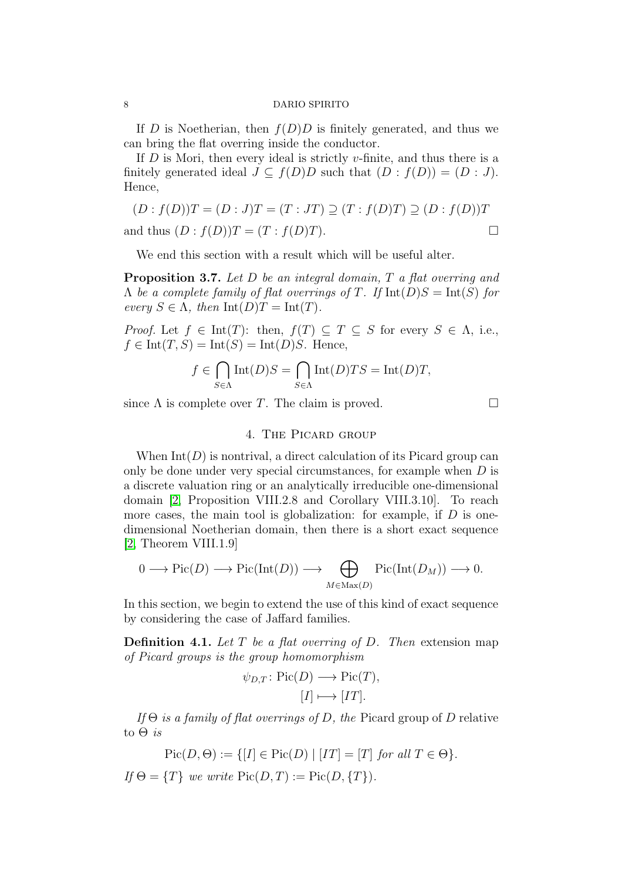If D is Noetherian, then  $f(D)D$  is finitely generated, and thus we can bring the flat overring inside the conductor.

If  $D$  is Mori, then every ideal is strictly v-finite, and thus there is a finitely generated ideal  $J \subseteq f(D)D$  such that  $(D : f(D)) = (D : J)$ . Hence,

$$
(D : f(D))T = (D : J)T = (T : JT) \supseteq (T : f(D)T) \supseteq (D : f(D))T
$$
  
and thus 
$$
(D : f(D))T = (T : f(D)T).
$$

We end this section with a result which will be useful alter.

<span id="page-7-0"></span>**Proposition 3.7.** Let D be an integral domain, T a flat overring and  $\Lambda$  be a complete family of flat overrings of T. If  $Int(D)S = Int(S)$  for every  $S \in \Lambda$ , then  $\text{Int}(D)T = \text{Int}(T)$ .

*Proof.* Let  $f \in \text{Int}(T)$ : then,  $f(T) \subseteq T \subseteq S$  for every  $S \in \Lambda$ , i.e.,  $f \in \text{Int}(T, S) = \text{Int}(S) = \text{Int}(D)S$ . Hence,

$$
f \in \bigcap_{S \in \Lambda} \text{Int}(D)S = \bigcap_{S \in \Lambda} \text{Int}(D)TS = \text{Int}(D)T,
$$

since  $\Lambda$  is complete over T. The claim is proved.  $\square$ 

# 4. The Picard group

When  $Int(D)$  is nontrival, a direct calculation of its Picard group can only be done under very special circumstances, for example when  $D$  is a discrete valuation ring or an analytically irreducible one-dimensional domain [\[2,](#page-22-0) Proposition VIII.2.8 and Corollary VIII.3.10]. To reach more cases, the main tool is globalization: for example, if  $D$  is onedimensional Noetherian domain, then there is a short exact sequence [\[2,](#page-22-0) Theorem VIII.1.9]

$$
0 \longrightarrow Pic(D) \longrightarrow Pic(Int(D)) \longrightarrow \bigoplus_{M \in Max(D)} Pic(Int(D_M)) \longrightarrow 0.
$$

In this section, we begin to extend the use of this kind of exact sequence by considering the case of Jaffard families.

**Definition 4.1.** Let T be a flat overring of D. Then extension map of Picard groups is the group homomorphism

$$
\psi_{D,T}
$$
: Pic(*D*)  $\longrightarrow$  Pic(*T*),  
[*I*]  $\longmapsto$  [*IT*].

If  $\Theta$  is a family of flat overrings of D, the Picard group of D relative to  $\Theta$  is

$$
Pic(D, \Theta) := \{ [I] \in Pic(D) \mid [IT] = [T] \text{ for all } T \in \Theta \}.
$$
  
If  $\Theta = \{T\}$  we write  $Pic(D, T) := Pic(D, \{T\}).$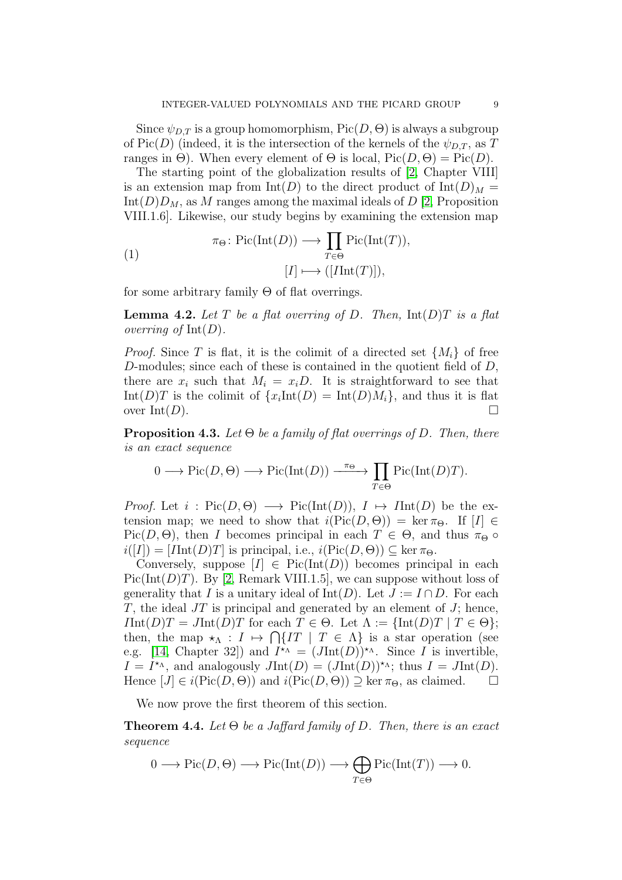Since  $\psi_{D,T}$  is a group homomorphism,  $Pic(D, \Theta)$  is always a subgroup of Pic(D) (indeed, it is the intersection of the kernels of the  $\psi_{D,T}$ , as T ranges in  $\Theta$ ). When every element of  $\Theta$  is local,  $Pic(D, \Theta) = Pic(D)$ .

The starting point of the globalization results of [\[2,](#page-22-0) Chapter VIII] is an extension map from  $Int(D)$  to the direct product of  $Int(D)_M =$  $Int(D)D_M$ , as M ranges among the maximal ideals of D [\[2,](#page-22-0) Proposition VIII.1.6]. Likewise, our study begins by examining the extension map

(1) 
$$
\pi_{\Theta} \colon \mathrm{Pic}(\mathrm{Int}(D)) \longrightarrow \prod_{T \in \Theta} \mathrm{Pic}(\mathrm{Int}(T)),
$$

$$
[I] \longmapsto ([\mathrm{Int}(T)]),
$$

for some arbitrary family  $\Theta$  of flat overrings.

**Lemma 4.2.** Let T be a flat overring of D. Then,  $Int(D)T$  is a flat *overring of*  $Int(D)$ .

*Proof.* Since T is flat, it is the colimit of a directed set  $\{M_i\}$  of free D-modules; since each of these is contained in the quotient field of  $D$ , there are  $x_i$  such that  $M_i = x_i D$ . It is straightforward to see that Int(D)T is the colimit of  $\{x_i\text{Int}(D) = \text{Int}(D)M_i\}$ , and thus it is flat over  $\text{Int}(D)$ .

<span id="page-8-1"></span>**Proposition 4.3.** Let  $\Theta$  be a family of flat overrings of D. Then, there is an exact sequence

$$
0 \longrightarrow Pic(D, \Theta) \longrightarrow Pic(Int(D)) \xrightarrow{\pi_{\Theta}} \prod_{T \in \Theta} Pic(Int(D)T).
$$

*Proof.* Let  $i : Pic(D, \Theta) \longrightarrow Pic(Int(D)), I \mapsto Int(D)$  be the extension map; we need to show that  $i(\text{Pic}(D, \Theta)) = \ker \pi_{\Theta}$ . If  $[I] \in$ Pic(D,  $\Theta$ ), then I becomes principal in each  $T \in \Theta$ , and thus  $\pi_{\Theta} \circ$  $i([I]) = [IInt(D)T]$  is principal, i.e.,  $i(Pic(D, \Theta)) \subseteq \ker \pi_{\Theta}$ .

Conversely, suppose  $[I] \in Pic(Int(D))$  becomes principal in each Pic(Int( $D$ )T). By [\[2,](#page-22-0) Remark VIII.1.5], we can suppose without loss of generality that I is a unitary ideal of Int(D). Let  $J := I \cap D$ . For each  $T$ , the ideal  $JT$  is principal and generated by an element of  $J$ ; hence,  $IInt(D)T = JInt(D)T$  for each  $T \in \Theta$ . Let  $\Lambda := \{\text{Int}(D)T \mid T \in \Theta\};$ then, the map  $\star_{\Lambda}: I \mapsto \bigcap \{IT \mid T \in \Lambda\}$  is a star operation (see e.g. [\[14,](#page-22-14) Chapter 32]) and  $I^{\star_{\Lambda}} = (JInt(D))^{\star_{\Lambda}}$ . Since I is invertible,  $I = I^{\star_{\Lambda}}$ , and analogously  $JInt(D) = (JInt(D))^{\star_{\Lambda}}$ ; thus  $I = JInt(D)$ . Hence  $[J] \in i(\text{Pic}(D, \Theta))$  and  $i(\text{Pic}(D, \Theta)) \supseteq \ker \pi_{\Theta}$ , as claimed.  $\square$ 

We now prove the first theorem of this section.

<span id="page-8-0"></span>**Theorem 4.4.** Let  $\Theta$  be a Jaffard family of D. Then, there is an exact sequence

$$
0 \longrightarrow Pic(D, \Theta) \longrightarrow Pic(Int(D)) \longrightarrow \bigoplus_{T \in \Theta} Pic(Int(T)) \longrightarrow 0.
$$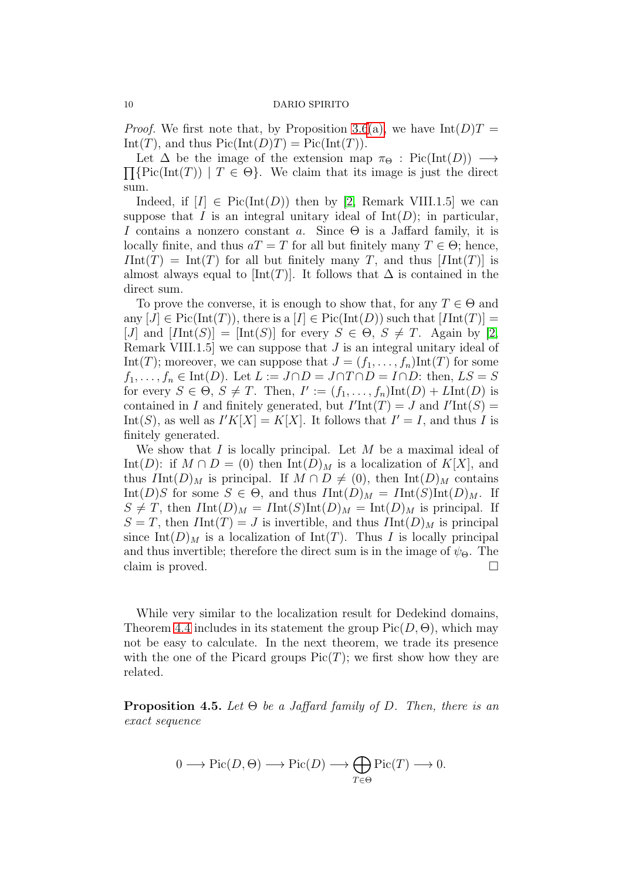*Proof.* We first note that, by Proposition [3.6](#page-6-3)[\(a\),](#page-6-4) we have  $Int(D)T =$ Int(T), and thus  $Pic(Int(D)T) = Pic(Int(T)).$ 

 $\prod {\rm Pic}(\text{Int}(T)) \mid T \in \Theta$ . We claim that its image is just the direct Let  $\Delta$  be the image of the extension map  $\pi_{\Theta}$ : Pic(Int(D))  $\longrightarrow$ sum.

Indeed, if  $[I] \in Pic(Int(D))$  then by [\[2,](#page-22-0) Remark VIII.1.5] we can suppose that I is an integral unitary ideal of  $Int(D)$ ; in particular, I contains a nonzero constant a. Since  $\Theta$  is a Jaffard family, it is locally finite, and thus  $aT = T$  for all but finitely many  $T \in \Theta$ ; hence,  $IInt(T) = Int(T)$  for all but finitely many T, and thus  $[IInt(T)]$  is almost always equal to  $[\text{Int}(T)]$ . It follows that  $\Delta$  is contained in the direct sum.

To prove the converse, it is enough to show that, for any  $T \in \Theta$  and any  $[J] \in Pic(Int(T))$ , there is a  $[I] \in Pic(Int(D))$  such that  $[Int(T)] =$ [J] and  $[*Hint*(S)] = [Int(S)]$  for every  $S \in \Theta$ ,  $S \neq T$ . Again by [\[2,](#page-22-0) Remark VIII.1.5 we can suppose that  $J$  is an integral unitary ideal of Int(T); moreover, we can suppose that  $J = (f_1, \ldots, f_n)$ Int(T) for some  $f_1, \ldots, f_n \in \text{Int}(D)$ . Let  $L := J \cap D = J \cap T \cap D = I \cap D$ : then,  $LS = S$ for every  $S \in \Theta$ ,  $S \neq T$ . Then,  $I' := (f_1, \ldots, f_n) \text{Int}(D) + L \text{Int}(D)$  is contained in I and finitely generated, but  $I'Int(T) = J$  and  $I'Int(S) =$ Int(S), as well as  $I'K[X] = K[X]$ . It follows that  $I' = I$ , and thus I is finitely generated.

We show that  $I$  is locally principal. Let  $M$  be a maximal ideal of Int(D): if  $M \cap D = (0)$  then Int(D)<sub>M</sub> is a localization of K[X], and thus  $IInt(D)_M$  is principal. If  $M \cap D \neq (0)$ , then  $Int(D)_M$  contains Int(D)S for some  $S \in \Theta$ , and thus  $IInt(D)_M = Int(S)Int(D)_M$ . If  $S \neq T$ , then  $IInt(D)_M = Int(S)Int(D)_M = Int(D)_M$  is principal. If  $S = T$ , then  $IInt(T) = J$  is invertible, and thus  $IInt(D)_M$  is principal since Int(D)<sub>M</sub> is a localization of Int(T). Thus I is locally principal and thus invertible; therefore the direct sum is in the image of  $\psi_{\Theta}$ . The claim is proved.  $\Box$ 

While very similar to the localization result for Dedekind domains, Theorem [4.4](#page-8-0) includes in its statement the group  $Pic(D, \Theta)$ , which may not be easy to calculate. In the next theorem, we trade its presence with the one of the Picard groups  $Pic(T)$ ; we first show how they are related.

<span id="page-9-0"></span>**Proposition 4.5.** Let  $\Theta$  be a Jaffard family of D. Then, there is an exact sequence

$$
0 \longrightarrow \mathrm{Pic}(D,\Theta) \longrightarrow \mathrm{Pic}(D) \longrightarrow \bigoplus_{T \in \Theta} \mathrm{Pic}(T) \longrightarrow 0.
$$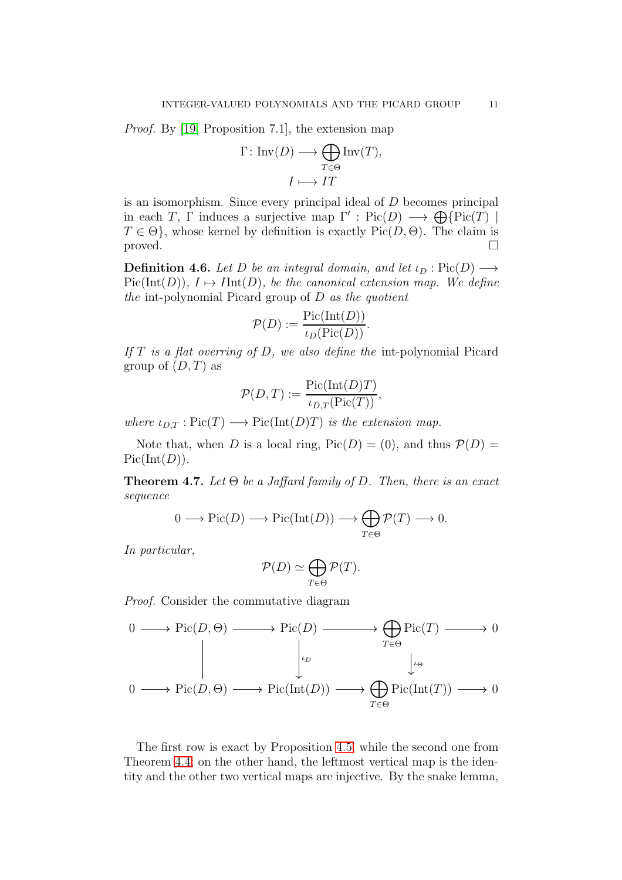*Proof.* By [\[19,](#page-22-12) Proposition 7.1], the extension map

$$
\Gamma: \operatorname{Inv}(D) \longrightarrow \bigoplus_{T \in \Theta} \operatorname{Inv}(T),
$$

$$
I \longmapsto IT
$$

is an isomorphism. Since every principal ideal of D becomes principal in each T,  $\Gamma$  induces a surjective map  $\Gamma'$ : Pic $(D) \longrightarrow \bigoplus {\rm Pic}(T)$  $T \in \Theta$ , whose kernel by definition is exactly Pic $(D, \Theta)$ . The claim is proved.

**Definition 4.6.** Let D be an integral domain, and let  $\iota_D : Pic(D) \longrightarrow$  $Pic(Int(D)), I \mapsto Int(D),$  be the canonical extension map. We define the int-polynomial Picard group of  $D$  as the quotient

$$
\mathcal{P}(D) := \frac{\text{Pic}(\text{Int}(D))}{\iota_D(\text{Pic}(D))}.
$$

If  $T$  is a flat overring of  $D$ , we also define the int-polynomial Picard group of  $(D, T)$  as

$$
\mathcal{P}(D,T) := \frac{\text{Pic}(\text{Int}(D)T)}{\iota_{D,T}(\text{Pic}(T))},
$$

where  $\iota_{D,T} : Pic(T) \longrightarrow Pic(Int(D)T)$  is the extension map.

Note that, when D is a local ring,  $Pic(D) = (0)$ , and thus  $P(D) =$  $Pic(Int(D)).$ 

<span id="page-10-0"></span>**Theorem 4.7.** Let  $\Theta$  be a Jaffard family of D. Then, there is an exact sequence

$$
0 \longrightarrow Pic(D) \longrightarrow Pic(Int(D)) \longrightarrow \bigoplus_{T \in \Theta} \mathcal{P}(T) \longrightarrow 0.
$$

In particular,

$$
\mathcal{P}(D) \simeq \bigoplus_{T \in \Theta} \mathcal{P}(T).
$$

Proof. Consider the commutative diagram

$$
0 \longrightarrow Pic(D, \Theta) \longrightarrow Pic(D) \longrightarrow \bigoplus_{T \in \Theta} Pic(T) \longrightarrow 0
$$
  

$$
\downarrow_{\rho} \qquad \qquad \downarrow_{\phi}
$$
  

$$
0 \longrightarrow Pic(D, \Theta) \longrightarrow Pic(Int(D)) \longrightarrow \bigoplus_{T \in \Theta} Pic(Int(T)) \longrightarrow 0
$$

The first row is exact by Proposition [4.5,](#page-9-0) while the second one from Theorem [4.4;](#page-8-0) on the other hand, the leftmost vertical map is the identity and the other two vertical maps are injective. By the snake lemma,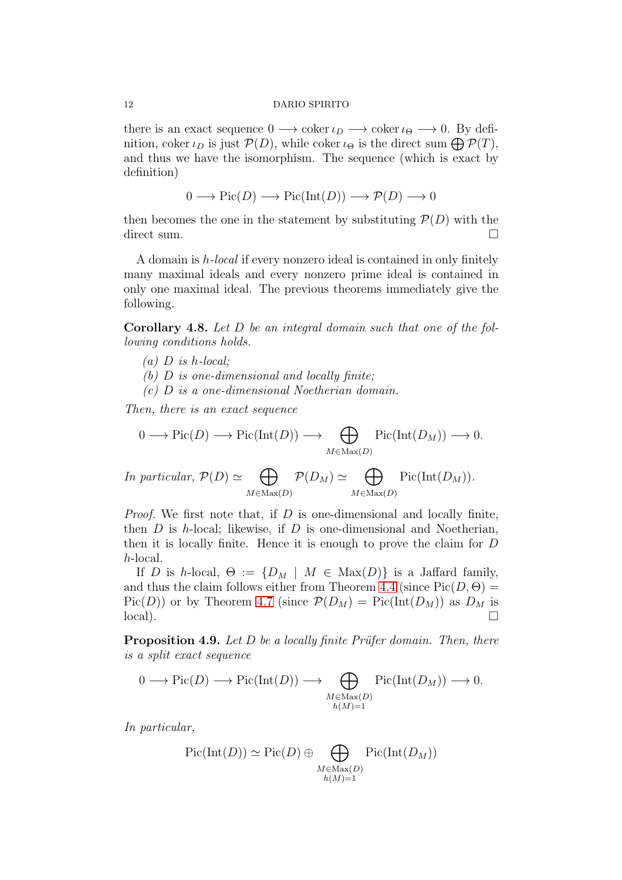there is an exact sequence  $0 \longrightarrow \text{coker } \iota_D \longrightarrow \text{coker } \iota_{\Theta} \longrightarrow 0$ . By definition, coker  $\iota_D$  is just  $\mathcal{P}(D)$ , while coker  $\iota_{\Theta}$  is the direct sum  $\bigoplus \mathcal{P}(T)$ , and thus we have the isomorphism. The sequence (which is exact by definition)

$$
0 \longrightarrow Pic(D) \longrightarrow Pic(Int(D)) \longrightarrow \mathcal{P}(D) \longrightarrow 0
$$

then becomes the one in the statement by substituting  $\mathcal{P}(D)$  with the direct sum.

A domain is h-local if every nonzero ideal is contained in only finitely many maximal ideals and every nonzero prime ideal is contained in only one maximal ideal. The previous theorems immediately give the following.

Corollary 4.8. Let D be an integral domain such that one of the following conditions holds.

- $(a)$  D is h-local;
- (b)  $D$  is one-dimensional and locally finite;
- (c) D is a one-dimensional Noetherian domain.

Then, there is an exact sequence

$$
0 \longrightarrow Pic(D) \longrightarrow Pic(Int(D)) \longrightarrow \bigoplus_{M \in Max(D)} Pic(Int(D_M)) \longrightarrow 0.
$$

In particular,  $\mathcal{P}(D) \simeq \bigoplus$  $M \in Max(D)$  $\mathcal{P}(D_M) \simeq \quad \bigoplus$  $M \in Max(D)$  $Pic(Int(D_M)).$ 

*Proof.* We first note that, if  $D$  is one-dimensional and locally finite, then  $D$  is h-local; likewise, if  $D$  is one-dimensional and Noetherian, then it is locally finite. Hence it is enough to prove the claim for D h-local.

If D is h-local,  $\Theta := \{D_M \mid M \in \text{Max}(D)\}\$ is a Jaffard family, and thus the claim follows either from Theorem [4.4](#page-8-0) (since  $Pic(D, \Theta) =$  $Pic(D))$  or by Theorem [4.7](#page-10-0) (since  $\mathcal{P}(D_M) = Pic(Int(D_M))$  as  $D_M$  is  $\Box$ local).

**Proposition 4.9.** Let D be a locally finite Prüfer domain. Then, there is a split exact sequence

$$
0 \longrightarrow Pic(D) \longrightarrow Pic(Int(D)) \longrightarrow \bigoplus_{\substack{M \in \text{Max}(D) \\ h(M) = 1}} Pic(Int(D_M)) \longrightarrow 0.
$$

In particular,

$$
\mathrm{Pic}(\mathrm{Int}(D)) \simeq \mathrm{Pic}(D) \oplus \bigoplus_{\substack{M \in \mathrm{Max}(D) \\ h(M) = 1}} \mathrm{Pic}(\mathrm{Int}(D_M))
$$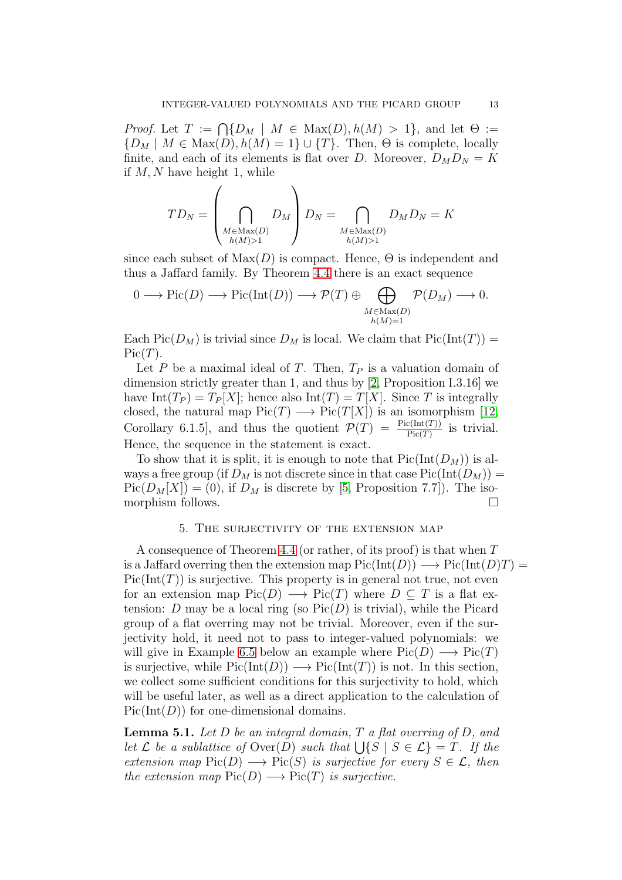*Proof.* Let  $T := \bigcap \{D_M \mid M \in \text{Max}(D), h(M) > 1\}$ , and let  $\Theta :=$  ${D_M \mid M \in \text{Max}(D), h(M) = 1} \cup {T}.$  Then,  $\Theta$  is complete, locally finite, and each of its elements is flat over D. Moreover,  $D_M D_N = K$ if  $M, N$  have height 1, while

$$
TD_N = \left(\bigcap_{\substack{M \in \text{Max}(D) \\ h(M) > 1}} D_M\right) D_N = \bigcap_{\substack{M \in \text{Max}(D) \\ h(M) > 1}} D_M D_N = K
$$

since each subset of  $Max(D)$  is compact. Hence,  $\Theta$  is independent and thus a Jaffard family. By Theorem [4.4](#page-8-0) there is an exact sequence

$$
0 \longrightarrow Pic(D) \longrightarrow Pic(Int(D)) \longrightarrow \mathcal{P}(T) \oplus \bigoplus_{\substack{M \in \text{Max}(D) \\ h(M) = 1}} \mathcal{P}(D_M) \longrightarrow 0.
$$

Each Pic( $D_M$ ) is trivial since  $D_M$  is local. We claim that  $Pic(Int(T)) =$  $Pic(T).$ 

Let P be a maximal ideal of T. Then,  $T_P$  is a valuation domain of dimension strictly greater than 1, and thus by [\[2,](#page-22-0) Proposition I.3.16] we have Int $(T_P) = T_P[X]$ ; hence also Int $(T) = T[X]$ . Since T is integrally closed, the natural map  $Pic(T) \longrightarrow Pic(T[X])$  is an isomorphism [\[12,](#page-22-15) Corollary 6.1.5, and thus the quotient  $\mathcal{P}(T) = \frac{\text{Pic}(\text{Int}(T))}{\text{Pic}(T)}$  is trivial. Hence, the sequence in the statement is exact.

To show that it is split, it is enough to note that  $Pic(Int(D_M))$  is always a free group (if  $D_M$  is not discrete since in that case  $Pic(Int(D_M)) =$  $Pic(D_M[X]) = (0)$ , if  $D_M$  is discrete by [\[5,](#page-22-16) Proposition 7.7]). The isomorphism follows.  $\Box$ 

## 5. The surjectivity of the extension map

A consequence of Theorem [4.4](#page-8-0) (or rather, of its proof) is that when T is a Jaffard overring then the extension map  $Pic(Int(D)) \longrightarrow Pic(Int(D)T) =$  $Pic(Int(T))$  is surjective. This property is in general not true, not even for an extension map  $Pic(D) \longrightarrow Pic(T)$  where  $D \subseteq T$  is a flat extension: D may be a local ring (so  $Pic(D)$  is trivial), while the Picard group of a flat overring may not be trivial. Moreover, even if the surjectivity hold, it need not to pass to integer-valued polynomials: we will give in Example [6.5](#page-17-1) below an example where  $Pic(D) \longrightarrow Pic(T)$ is surjective, while  $Pic(Int(D)) \longrightarrow Pic(Int(T))$  is not. In this section, we collect some sufficient conditions for this surjectivity to hold, which will be useful later, as well as a direct application to the calculation of  $Pic(Int(D))$  for one-dimensional domains.

<span id="page-12-0"></span>**Lemma 5.1.** Let  $D$  be an integral domain,  $T$  a flat overring of  $D$ , and let L be a sublattice of  $\text{Over}(D)$  such that  $\bigcup \{S \mid S \in \mathcal{L}\} = T$ . If the extension map  $Pic(D) \longrightarrow Pic(S)$  is surjective for every  $S \in \mathcal{L}$ , then the extension map  $Pic(D) \longrightarrow Pic(T)$  is surjective.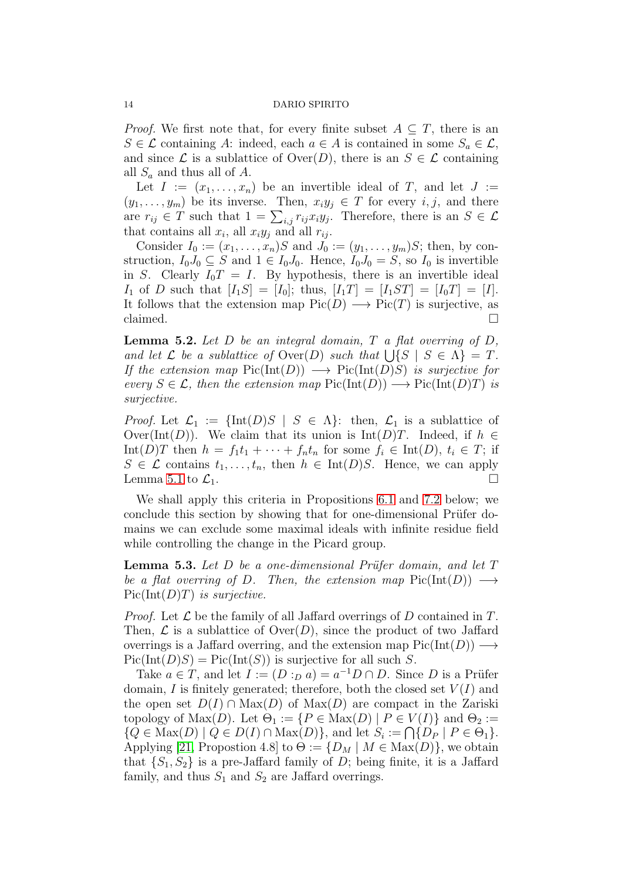*Proof.* We first note that, for every finite subset  $A \subseteq T$ , there is an  $S \in \mathcal{L}$  containing A: indeed, each  $a \in A$  is contained in some  $S_a \in \mathcal{L}$ , and since  $\mathcal L$  is a sublattice of Over $(D)$ , there is an  $S \in \mathcal L$  containing all  $S_a$  and thus all of A.

Let  $I := (x_1, \ldots, x_n)$  be an invertible ideal of T, and let  $J :=$  $(y_1, \ldots, y_m)$  be its inverse. Then,  $x_i y_j \in T$  for every  $i, j$ , and there are  $r_{ij} \in T$  such that  $1 = \sum_{i,j} r_{ij} x_i y_j$ . Therefore, there is an  $S \in \mathcal{L}$ that contains all  $x_i$ , all  $x_i y_j$  and all  $r_{ij}$ .

Consider  $I_0 := (x_1, \ldots, x_n)S$  and  $J_0 := (y_1, \ldots, y_m)S$ ; then, by construction,  $I_0J_0 \subseteq S$  and  $1 \in I_0J_0$ . Hence,  $I_0J_0 = S$ , so  $I_0$  is invertible in S. Clearly  $I_0T = I$ . By hypothesis, there is an invertible ideal  $I_1$  of D such that  $[I_1S] = [I_0]$ ; thus,  $[I_1T] = [I_1ST] = [I_0T] = [I].$ It follows that the extension map  $Pic(D) \longrightarrow Pic(T)$  is surjective, as claimed.  $\Box$ 

<span id="page-13-0"></span>**Lemma 5.2.** Let  $D$  be an integral domain,  $T$  a flat overring of  $D$ , and let  $\mathcal L$  be a sublattice of  $\text{Over}(D)$  such that  $\bigcup \{S \mid S \in \Lambda\} = T$ . If the extension map  $Pic(Int(D)) \longrightarrow Pic(Int(D)S)$  is surjective for every  $S \in \mathcal{L}$ , then the extension map  $Pic(Int(D)) \longrightarrow Pic(Int(D)T)$  is surjective.

*Proof.* Let  $\mathcal{L}_1 := \{\text{Int}(D)S \mid S \in \Lambda\}$ : then,  $\mathcal{L}_1$  is a sublattice of Over(Int(D)). We claim that its union is Int(D)T. Indeed, if  $h \in$ Int(D)T then  $h = f_1t_1 + \cdots + f_nt_n$  for some  $f_i \in Int(D)$ ,  $t_i \in T$ ; if  $S \in \mathcal{L}$  contains  $t_1, \ldots, t_n$ , then  $h \in \text{Int}(D)S$ . Hence, we can apply Lemma [5.1](#page-12-0) to  $\mathcal{L}_1$ .

We shall apply this criteria in Propositions [6.1](#page-15-1) and [7.2](#page-19-0) below; we conclude this section by showing that for one-dimensional Prüfer domains we can exclude some maximal ideals with infinite residue field while controlling the change in the Picard group.

<span id="page-13-1"></span>**Lemma 5.3.** Let  $D$  be a one-dimensional Prüfer domain, and let  $T$ be a flat overring of D. Then, the extension map  $Pic(Int(D)) \longrightarrow$  $Pic(Int(D)T)$  is surjective.

*Proof.* Let  $\mathcal L$  be the family of all Jaffard overrings of D contained in T. Then,  $\mathcal L$  is a sublattice of  $\text{Over}(D)$ , since the product of two Jaffard overrings is a Jaffard overring, and the extension map  $Pic(Int(D)) \longrightarrow$  $Pic(Int(D)S) = Pic(Int(S))$  is surjective for all such S.

Take  $a \in T$ , and let  $I := (D :_D a) = a^{-1}D \cap D$ . Since D is a Prüfer domain, I is finitely generated; therefore, both the closed set  $V(I)$  and the open set  $D(I) \cap Max(D)$  of  $Max(D)$  are compact in the Zariski topology of Max $(D)$ . Let  $\Theta_1 := \{P \in \text{Max}(D) \mid P \in V(I)\}\$ and  $\Theta_2 :=$  $\{Q \in \text{Max}(D) \mid Q \in D(I) \cap \text{Max}(D)\},\$ and let  $S_i := \bigcap \{D_P \mid P \in \Theta_1\}.$ Applying [\[21,](#page-22-10) Propostion 4.8] to  $\Theta := \{D_M \mid M \in \text{Max}(D)\}\)$ , we obtain that  $\{S_1, S_2\}$  is a pre-Jaffard family of D; being finite, it is a Jaffard family, and thus  $S_1$  and  $S_2$  are Jaffard overrings.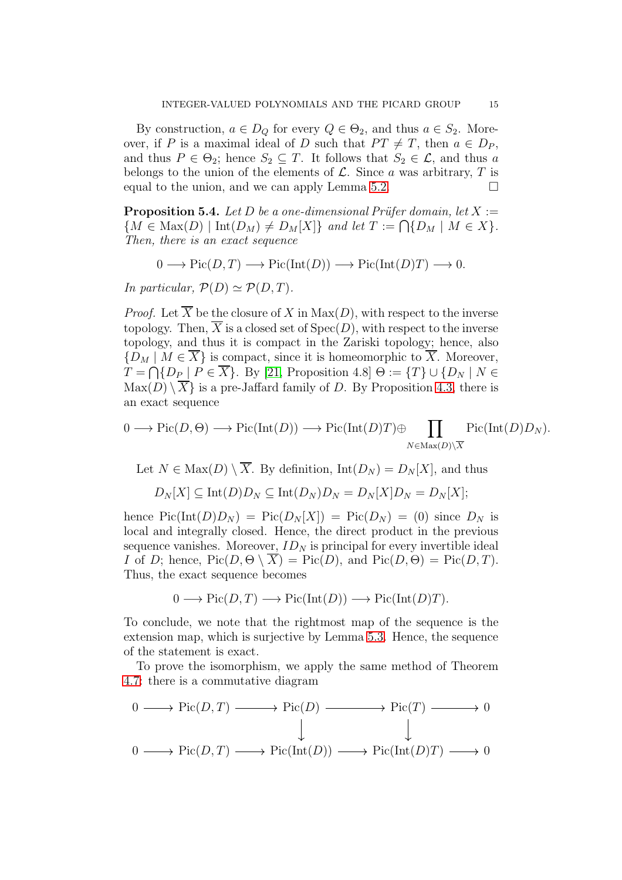By construction,  $a \in D_Q$  for every  $Q \in \Theta_2$ , and thus  $a \in S_2$ . Moreover, if P is a maximal ideal of D such that  $PT \neq T$ , then  $a \in D_P$ , and thus  $P \in \Theta_2$ ; hence  $S_2 \subseteq T$ . It follows that  $S_2 \in \mathcal{L}$ , and thus a belongs to the union of the elements of  $\mathcal{L}$ . Since a was arbitrary, T is equal to the union, and we can apply Lemma [5.2.](#page-13-0)

**Proposition 5.4.** Let D be a one-dimensional Prüfer domain, let  $X :=$  $\{M \in \text{Max}(D) \mid \text{Int}(D_M) \neq D_M[X]\}\$ and let  $T := \bigcap \{D_M \mid M \in X\}.$ Then, there is an exact sequence

$$
0 \longrightarrow Pic(D, T) \longrightarrow Pic(Int(D)) \longrightarrow Pic(Int(D)T) \longrightarrow 0.
$$

In particular,  $\mathcal{P}(D) \simeq \mathcal{P}(D,T)$ .

*Proof.* Let  $\overline{X}$  be the closure of X in  $Max(D)$ , with respect to the inverse topology. Then,  $\overline{X}$  is a closed set of  $Spec(D)$ , with respect to the inverse topology, and thus it is compact in the Zariski topology; hence, also  ${D_M \mid M \in \overline{X}}$  is compact, since it is homeomorphic to  $\overline{X}$ . Moreover,  $T = \bigcap \{D_P \mid P \in X\}$ . By [\[21,](#page-22-10) Proposition 4.8]  $\Theta := \{T\} \cup \{D_N \mid N \in \mathbb{R}\}$  $\text{Max}(D) \setminus \overline{X}$  is a pre-Jaffard family of D. By Proposition [4.3,](#page-8-1) there is an exact sequence

$$
0 \longrightarrow Pic(D, \Theta) \longrightarrow Pic(Int(D)) \longrightarrow Pic(Int(D)T) \oplus \prod_{N \in Max(D) \setminus \overline{X}} Pic(Int(D)D_N).
$$

Let  $N \in \text{Max}(D) \setminus \overline{X}$ . By definition,  $\text{Int}(D_N) = D_N[X]$ , and thus

$$
D_N[X] \subseteq \mathrm{Int}(D)D_N \subseteq \mathrm{Int}(D_N)D_N = D_N[X]D_N = D_N[X];
$$

hence  $Pic(Int(D)D_N) = Pic(D_N[X]) = Pic(D_N) = (0)$  since  $D_N$  is local and integrally closed. Hence, the direct product in the previous sequence vanishes. Moreover,  $ID<sub>N</sub>$  is principal for every invertible ideal I of D; hence,  $Pic(D, \Theta \setminus X) = Pic(D)$ , and  $Pic(D, \Theta) = Pic(D, T)$ . Thus, the exact sequence becomes

$$
0 \longrightarrow Pic(D, T) \longrightarrow Pic(Int(D)) \longrightarrow Pic(Int(D)T).
$$

To conclude, we note that the rightmost map of the sequence is the extension map, which is surjective by Lemma [5.3.](#page-13-1) Hence, the sequence of the statement is exact.

To prove the isomorphism, we apply the same method of Theorem [4.7:](#page-10-0) there is a commutative diagram

$$
0 \longrightarrow Pic(D, T) \longrightarrow Pic(D) \longrightarrow Pic(T) \longrightarrow 0
$$
  
\n
$$
\parallel \qquad \qquad \downarrow \qquad \qquad \downarrow
$$
  
\n
$$
0 \longrightarrow Pic(D, T) \longrightarrow Pic(Int(D)) \longrightarrow Pic(Int(D)T) \longrightarrow 0
$$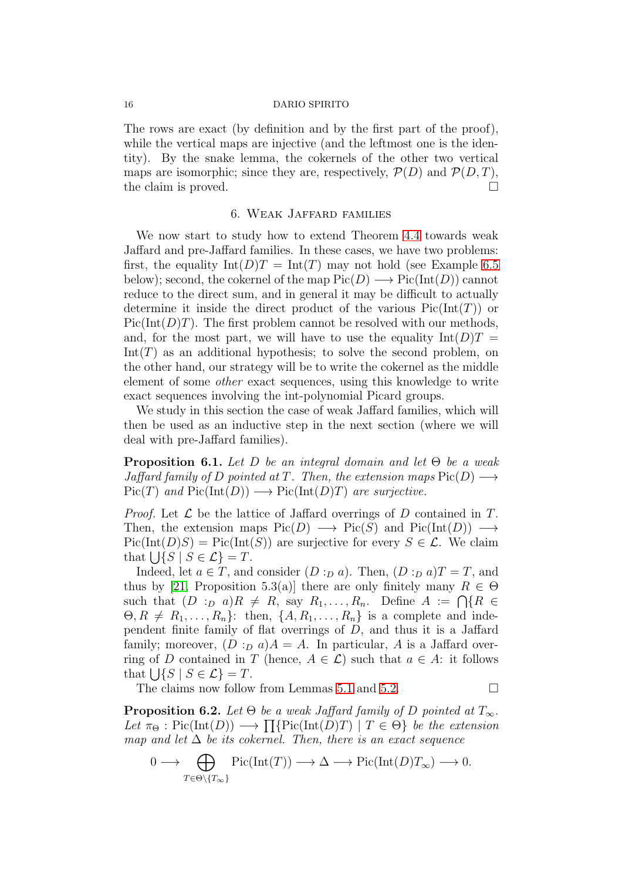The rows are exact (by definition and by the first part of the proof), while the vertical maps are injective (and the leftmost one is the identity). By the snake lemma, the cokernels of the other two vertical maps are isomorphic; since they are, respectively,  $\mathcal{P}(D)$  and  $\mathcal{P}(D, T)$ , the claim is proved.

## 6. Weak Jaffard families

<span id="page-15-0"></span>We now start to study how to extend Theorem [4.4](#page-8-0) towards weak Jaffard and pre-Jaffard families. In these cases, we have two problems: first, the equality  $Int(D)T = Int(T)$  may not hold (see Example [6.5](#page-17-1)) below); second, the cokernel of the map  $Pic(D) \longrightarrow Pic(Int(D))$  cannot reduce to the direct sum, and in general it may be difficult to actually determine it inside the direct product of the various  $Pic(Int(T))$  or  $Pic(Int(D)T)$ . The first problem cannot be resolved with our methods, and, for the most part, we will have to use the equality  $Int(D)T =$  $Int(T)$  as an additional hypothesis; to solve the second problem, on the other hand, our strategy will be to write the cokernel as the middle element of some other exact sequences, using this knowledge to write exact sequences involving the int-polynomial Picard groups.

We study in this section the case of weak Jaffard families, which will then be used as an inductive step in the next section (where we will deal with pre-Jaffard families).

<span id="page-15-1"></span>**Proposition 6.1.** Let D be an integral domain and let  $\Theta$  be a weak Jaffard family of D pointed at T. Then, the extension maps  $Pic(D) \longrightarrow$  $Pic(T)$  and  $Pic(Int(D)) \longrightarrow Pic(Int(D)T)$  are surjective.

*Proof.* Let  $\mathcal L$  be the lattice of Jaffard overrings of D contained in T. Then, the extension maps  $Pic(D) \longrightarrow Pic(S)$  and  $Pic(Int(D)) \longrightarrow$  $Pic(Int(D)S) = Pic(Int(S))$  are surjective for every  $S \in \mathcal{L}$ . We claim that  $\bigcup \{ S \mid S \in \mathcal{L} \} = T$ .

Indeed, let  $a \in T$ , and consider  $(D :_D a)$ . Then,  $(D :_D a)T = T$ , and thus by [\[21,](#page-22-10) Proposition 5.3(a)] there are only finitely many  $R \in \Theta$ such that  $(D :_D a)R \neq R$ , say  $R_1, \ldots, R_n$ . Define  $A := \bigcap \{R \in$  $\Theta, R \neq R_1, \ldots, R_n$ : then,  $\{A, R_1, \ldots, R_n\}$  is a complete and independent finite family of flat overrings of  $D$ , and thus it is a Jaffard family; moreover,  $(D :_{D} a)A = A$ . In particular, A is a Jaffard overring of D contained in T (hence,  $A \in \mathcal{L}$ ) such that  $a \in A$ : it follows that  $\bigcup \{ S \mid S \in \mathcal{L} \} = T$ .

The claims now follow from Lemmas [5.1](#page-12-0) and [5.2.](#page-13-0)  $\Box$ 

<span id="page-15-2"></span>**Proposition 6.2.** Let  $\Theta$  be a weak Jaffard family of D pointed at  $T_{\infty}$ . Let  $\pi_{\Theta}$ : Pic(Int(D))  $\longrightarrow \prod{\text{Pic}(\text{Int}(D)T) \mid T \in \Theta}$  be the extension map and let  $\Delta$  be its cokernel. Then, there is an exact sequence

$$
0 \longrightarrow \bigoplus_{T \in \Theta \setminus \{T_{\infty}\}} \text{Pic}(\text{Int}(T)) \longrightarrow \Delta \longrightarrow \text{Pic}(\text{Int}(D)T_{\infty}) \longrightarrow 0.
$$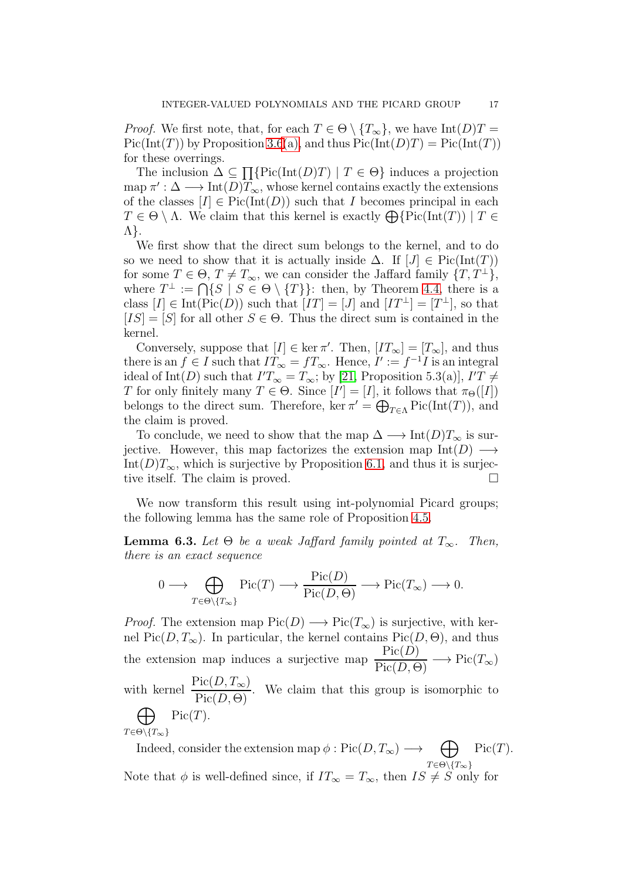*Proof.* We first note, that, for each  $T \in \Theta \setminus \{T_{\infty}\}\)$ , we have  $Int(D)T =$  $Pic(Int(T))$  by Proposition [3.6](#page-6-3)[\(a\),](#page-6-4) and thus  $Pic(Int(D)T) = Pic(Int(T))$ for these overrings.

The inclusion  $\Delta \subseteq \Pi$ {Pic(Int(D)T) |  $T \in \Theta$ } induces a projection  $\text{map }\pi': \Delta \longrightarrow \text{Int}(D)T_{\infty}, \text{whose Kernel contains exactly the extensions.}$ of the classes  $[I] \in Pic(Int(D))$  such that I becomes principal in each  $T \in \Theta \setminus \Lambda$ . We claim that this kernel is exactly  $\bigoplus \{Pic(\text{Int}(T)) \mid T \in$ Λ}.

We first show that the direct sum belongs to the kernel, and to do so we need to show that it is actually inside  $\Delta$ . If  $[J] \in Pic(Int(T))$ for some  $T \in \Theta$ ,  $T \neq T_{\infty}$ , we can consider the Jaffard family  $\{T, T^{\perp}\},$ where  $T^{\perp} := \bigcap \{ S \mid S \in \Theta \setminus \{T\} \}$ : then, by Theorem [4.4,](#page-8-0) there is a class  $[I] \in Int(Pic(D))$  such that  $[IT] = [J]$  and  $[IT^{\perp}] = [T^{\perp}]$ , so that  $[IS] = [S]$  for all other  $S \in \Theta$ . Thus the direct sum is contained in the kernel.

Conversely, suppose that  $[I] \in \text{ker } \pi'$ . Then,  $[T_\infty] = [T_\infty]$ , and thus there is an  $f \in I$  such that  $IT_{\infty} = fT_{\infty}$ . Hence,  $I' := f^{-1}I$  is an integral ideal of Int(D) such that  $I'T_{\infty} = T_{\infty}$ ; by [\[21,](#page-22-10) Proposition 5.3(a)],  $I'T \neq$ T for only finitely many  $T \in \Theta$ . Since  $[I'] = [I]$ , it follows that  $\pi_{\Theta}([I])$ belongs to the direct sum. Therefore, ker  $\pi' = \bigoplus_{T \in \Lambda} \mathrm{Pic}(\mathrm{Int}(T))$ , and the claim is proved.

To conclude, we need to show that the map  $\Delta \longrightarrow \text{Int}(D)T_{\infty}$  is surjective. However, this map factorizes the extension map  $Int(D) \longrightarrow$ Int(D)T<sub>∞</sub>, which is surjective by Proposition [6.1,](#page-15-1) and thus it is surjective itself. The claim is proved.

We now transform this result using int-polynomial Picard groups; the following lemma has the same role of Proposition [4.5.](#page-9-0)

<span id="page-16-0"></span>**Lemma 6.3.** Let  $\Theta$  be a weak Jaffard family pointed at  $T_{\infty}$ . Then, there is an exact sequence

$$
0 \longrightarrow \bigoplus_{T \in \Theta \setminus \{T_{\infty}\}} \text{Pic}(T) \longrightarrow \frac{\text{Pic}(D)}{\text{Pic}(D,\Theta)} \longrightarrow \text{Pic}(T_{\infty}) \longrightarrow 0.
$$

*Proof.* The extension map  $Pic(D) \longrightarrow Pic(T_{\infty})$  is surjective, with kernel Pic $(D, T_{\infty})$ . In particular, the kernel contains Pic $(D, \Theta)$ , and thus the extension map induces a surjective map  $\frac{\text{Pic}(D)}{\text{Pic}(D,\Theta)} \longrightarrow \text{Pic}(T_{\infty})$ with kernel  $\frac{\text{Pic}(D, T_{\infty})}{\text{D}_{\infty}(\mathcal{D}, \mathcal{O})}$  $\frac{\text{Pic}(D, 1\omega)}{\text{Pic}(D, \Theta)}$ . We claim that this group is isomorphic to  $\bigoplus$  Pic $(T)$ .  $T \in \Theta \backslash \{T_{\infty}\}$ 

Indeed, consider the extension map  $\phi : Pic(D, T_{\infty}) \longrightarrow \Box$  $T \in \Theta \backslash \{ T_{\infty} \}$  $Pic(T).$ Note that  $\phi$  is well-defined since, if  $IT_{\infty} = T_{\infty}$ , then  $IS \neq S$  only for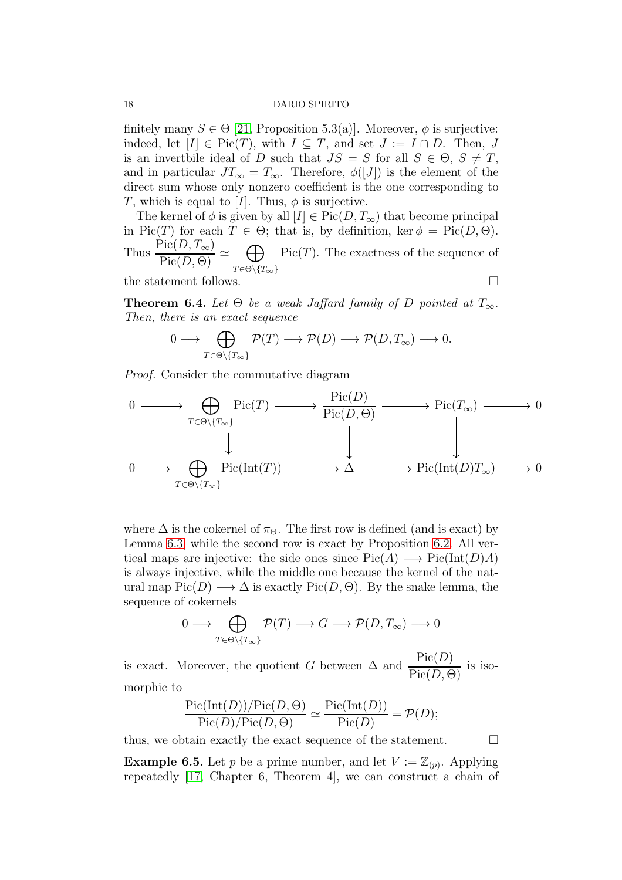finitely many  $S \in \Theta$  [\[21,](#page-22-10) Proposition 5.3(a)]. Moreover,  $\phi$  is surjective: indeed, let  $[I] \in Pic(T)$ , with  $I \subseteq T$ , and set  $J := I \cap D$ . Then, J is an invertbile ideal of D such that  $JS = S$  for all  $S \in \Theta$ ,  $S \neq T$ , and in particular  $JT_{\infty} = T_{\infty}$ . Therefore,  $\phi([J])$  is the element of the direct sum whose only nonzero coefficient is the one corresponding to T, which is equal to [I]. Thus,  $\phi$  is surjective.

The kernel of  $\phi$  is given by all  $[I] \in Pic(D, T_{\infty})$  that become principal in Pic(T) for each  $T \in \Theta$ ; that is, by definition, ker  $\phi = \text{Pic}(D, \Theta)$ . Thus  $\frac{\text{Pic}(D, T_{\infty})}{\text{D}'(D, D)}$  $\frac{\text{Pic}(D, I_{\infty})}{\text{Pic}(D, \Theta)} \simeq \bigoplus_{\pi \in \Theta \setminus \{0\}}$  $T \in \Theta \backslash \{ T_{\infty} \}$  $Pic(T)$ . The exactness of the sequence of the statement follows.  $\square$ 

<span id="page-17-0"></span>**Theorem 6.4.** Let  $\Theta$  be a weak Jaffard family of D pointed at  $T_{\infty}$ . Then, there is an exact sequence

$$
0 \longrightarrow \bigoplus_{T \in \Theta \setminus \{T_{\infty}\}} \mathcal{P}(T) \longrightarrow \mathcal{P}(D) \longrightarrow \mathcal{P}(D, T_{\infty}) \longrightarrow 0.
$$

Proof. Consider the commutative diagram

$$
0 \longrightarrow \bigoplus_{T \in \Theta \setminus \{T_{\infty}\}} \text{Pic}(T) \longrightarrow \frac{\text{Pic}(D)}{\text{Pic}(D,\Theta)} \longrightarrow \text{Pic}(T_{\infty}) \longrightarrow 0
$$
  

$$
0 \longrightarrow \bigoplus_{T \in \Theta \setminus \{T_{\infty}\}} \text{Pic}(\text{Int}(T)) \longrightarrow \Delta \longrightarrow \text{Pic}(\text{Int}(D)T_{\infty}) \longrightarrow 0
$$

where  $\Delta$  is the cokernel of  $\pi_{\Theta}$ . The first row is defined (and is exact) by Lemma [6.3,](#page-16-0) while the second row is exact by Proposition [6.2.](#page-15-2) All vertical maps are injective: the side ones since  $Pic(A) \longrightarrow Pic(Int(D)A)$ is always injective, while the middle one because the kernel of the natural map  $Pic(D) \longrightarrow \Delta$  is exactly  $Pic(D, \Theta)$ . By the snake lemma, the sequence of cokernels

$$
0 \longrightarrow \bigoplus_{T \in \Theta \setminus \{T_{\infty}\}} \mathcal{P}(T) \longrightarrow G \longrightarrow \mathcal{P}(D, T_{\infty}) \longrightarrow 0
$$

is exact. Moreover, the quotient G between  $\Delta$  and  $\frac{\text{Pic}(D)}{\text{D}^2 \times \text{D}^2}$  $\frac{\text{Pic}(D)}{\text{Pic}(D,\Theta)}$  is isomorphic to

$$
\frac{\operatorname{Pic}(\operatorname{Int}(D))/\operatorname{Pic}(D,\Theta)}{\operatorname{Pic}(D)/\operatorname{Pic}(D,\Theta)} \simeq \frac{\operatorname{Pic}(\operatorname{Int}(D))}{\operatorname{Pic}(D)} = \mathcal{P}(D);
$$

thus, we obtain exactly the exact sequence of the statement.  $\Box$ 

<span id="page-17-1"></span>**Example 6.5.** Let p be a prime number, and let  $V := \mathbb{Z}_{(p)}$ . Applying repeatedly [\[17,](#page-22-17) Chapter 6, Theorem 4], we can construct a chain of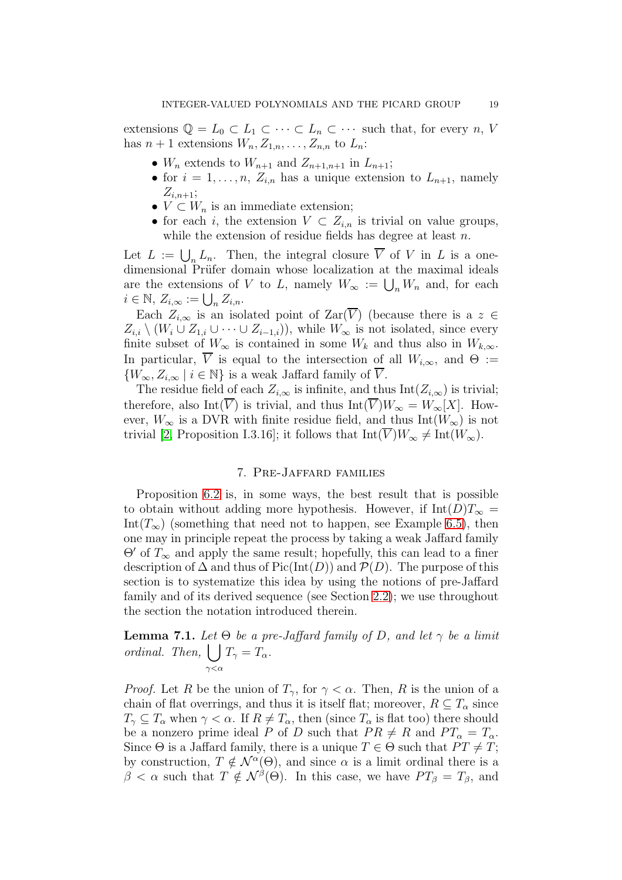extensions  $\mathbb{Q} = L_0 \subset L_1 \subset \cdots \subset L_n \subset \cdots$  such that, for every n, V has  $n+1$  extensions  $W_n, Z_{1,n}, \ldots, Z_{n,n}$  to  $L_n$ :

- $W_n$  extends to  $W_{n+1}$  and  $Z_{n+1,n+1}$  in  $L_{n+1}$ ;
- for  $i = 1, \ldots, n$ ,  $Z_{i,n}$  has a unique extension to  $L_{n+1}$ , namely  $Z_{i,n+1};$
- $V \subset W_n$  is an immediate extension;
- for each i, the extension  $V \subset Z_{i,n}$  is trivial on value groups, while the extension of residue fields has degree at least  $n$ .

Let  $L := \bigcup_n L_n$ . Then, the integral closure V of V in L is a onedimensional Prüfer domain whose localization at the maximal ideals are the extensions of V to L, namely  $W_{\infty} := \bigcup_n W_n$  and, for each  $i \in \mathbb{N}, Z_{i,\infty} := \bigcup_n Z_{i,n}.$ 

Each  $Z_{i,\infty}$  is an isolated point of  $\text{Zar}(\overline{V})$  (because there is a  $z \in$  $Z_{i,i} \setminus (W_i \cup Z_{1,i} \cup \cdots \cup Z_{i-1,i}),$  while  $W_{\infty}$  is not isolated, since every finite subset of  $W_{\infty}$  is contained in some  $W_k$  and thus also in  $W_{k,\infty}$ . In particular,  $\overline{V}$  is equal to the intersection of all  $W_{i,\infty}$ , and  $\Theta :=$  $\{W_{\infty}, Z_{i,\infty} \mid i \in \mathbb{N}\}\$ is a weak Jaffard family of  $\overline{V}$ .

The residue field of each  $Z_{i,\infty}$  is infinite, and thus Int $(Z_{i,\infty})$  is trivial; therefore, also Int( $\overline{V}$ ) is trivial, and thus Int( $\overline{V}$ ) $W_{\infty} = W_{\infty}[X]$ . However,  $W_{\infty}$  is a DVR with finite residue field, and thus Int( $W_{\infty}$ ) is not trivial [\[2,](#page-22-0) Proposition I.3.16]; it follows that  $Int(\overline{V})W_{\infty} \neq Int(W_{\infty})$ .

## 7. Pre-Jaffard families

<span id="page-18-0"></span>Proposition [6.2](#page-15-2) is, in some ways, the best result that is possible to obtain without adding more hypothesis. However, if Int $(D)T_{\infty}$  = Int( $T_{\infty}$ ) (something that need not to happen, see Example [6.5\)](#page-17-1), then one may in principle repeat the process by taking a weak Jaffard family  $\Theta'$  of  $T_{\infty}$  and apply the same result; hopefully, this can lead to a finer description of  $\Delta$  and thus of Pic(Int(D)) and  $\mathcal{P}(D)$ . The purpose of this section is to systematize this idea by using the notions of pre-Jaffard family and of its derived sequence (see Section [2.2\)](#page-3-0); we use throughout the section the notation introduced therein.

<span id="page-18-1"></span>**Lemma 7.1.** Let  $\Theta$  be a pre-Jaffard family of D, and let  $\gamma$  be a limit ordinal. Then,  $\vert \ \vert$  $\gamma<\alpha$  $T_{\gamma}=T_{\alpha}.$ 

*Proof.* Let R be the union of  $T_{\gamma}$ , for  $\gamma < \alpha$ . Then, R is the union of a chain of flat overrings, and thus it is itself flat; moreover,  $R \subseteq T_{\alpha}$  since  $T_{\gamma} \subseteq T_{\alpha}$  when  $\gamma < \alpha$ . If  $R \neq T_{\alpha}$ , then (since  $T_{\alpha}$  is flat too) there should be a nonzero prime ideal P of D such that  $PR \neq R$  and  $PT_{\alpha} = T_{\alpha}$ . Since  $\Theta$  is a Jaffard family, there is a unique  $T \in \Theta$  such that  $PT \neq T$ ; by construction,  $T \notin \mathcal{N}^{\alpha}(\Theta)$ , and since  $\alpha$  is a limit ordinal there is a  $\beta < \alpha$  such that  $T \notin \mathcal{N}^{\beta}(\Theta)$ . In this case, we have  $PT_{\beta} = T_{\beta}$ , and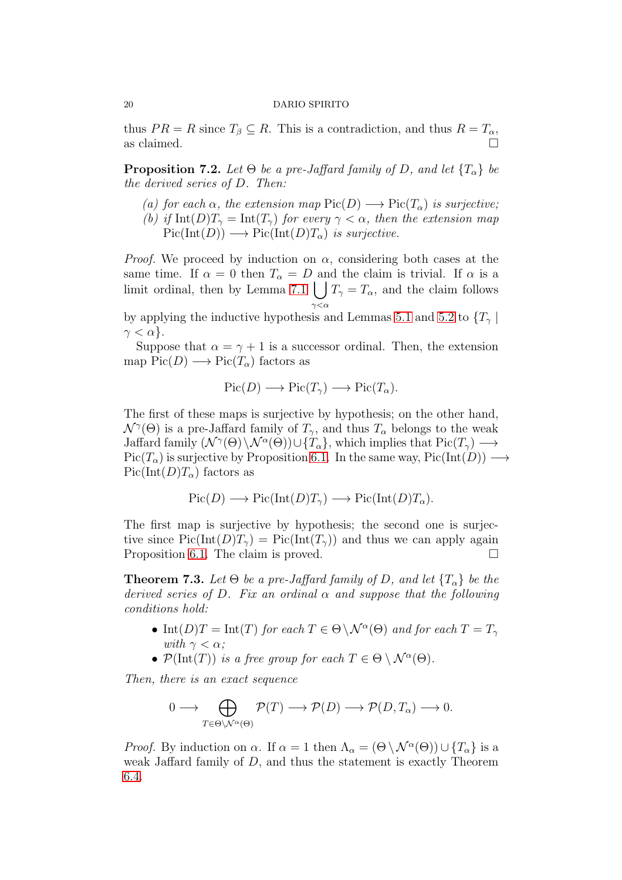thus  $PR = R$  since  $T_\beta \subseteq R$ . This is a contradiction, and thus  $R = T_\alpha$ , as claimed.  $\Box$ 

<span id="page-19-0"></span>**Proposition 7.2.** Let  $\Theta$  be a pre-Jaffard family of D, and let  $\{T_{\alpha}\}\$  be the derived series of D. Then:

(a) for each  $\alpha$ , the extension map  $Pic(D) \longrightarrow Pic(T_{\alpha})$  is surjective; (b) if  $\text{Int}(D)T_{\gamma} = \text{Int}(T_{\gamma})$  for every  $\gamma < \alpha$ , then the extension map  $Pic(Int(D)) \longrightarrow Pic(Int(D)T_{\alpha})$  is surjective.

*Proof.* We proceed by induction on  $\alpha$ , considering both cases at the same time. If  $\alpha = 0$  then  $T_{\alpha} = D$  and the claim is trivial. If  $\alpha$  is a limit ordinal, then by Lemma [7.1](#page-18-1)  $\int T_{\gamma} = T_{\alpha}$ , and the claim follows  $γ<\alpha$ 

by applying the inductive hypothesis and Lemmas [5.1](#page-12-0) and [5.2](#page-13-0) to  $\{T_{\gamma}\}\$  $\gamma < \alpha$ .

Suppose that  $\alpha = \gamma + 1$  is a successor ordinal. Then, the extension map  $Pic(D) \longrightarrow Pic(T_\alpha)$  factors as

$$
Pic(D) \longrightarrow Pic(T_{\gamma}) \longrightarrow Pic(T_{\alpha}).
$$

The first of these maps is surjective by hypothesis; on the other hand,  $\mathcal{N}^{\gamma}(\Theta)$  is a pre-Jaffard family of  $T_{\gamma}$ , and thus  $T_{\alpha}$  belongs to the weak Jaffard family  $(\mathcal{N}^{\gamma}(\Theta) \setminus \mathcal{N}^{\alpha}(\Theta)) \cup \{T_{\alpha}\}\$ , which implies that  $Pic(T_{\gamma}) \longrightarrow$  $Pic(T_\alpha)$  is surjective by Proposition [6.1.](#page-15-1) In the same way,  $Pic(Int(D)) \longrightarrow$  $Pic(Int(D)T_\alpha)$  factors as

$$
Pic(D) \longrightarrow Pic(Int(D)T_{\gamma}) \longrightarrow Pic(Int(D)T_{\alpha}).
$$

The first map is surjective by hypothesis; the second one is surjective since  $Pic(Int(D)T_{\gamma}) = Pic(Int(T_{\gamma}))$  and thus we can apply again Proposition [6.1.](#page-15-1) The claim is proved.

<span id="page-19-1"></span>**Theorem 7.3.** Let  $\Theta$  be a pre-Jaffard family of D, and let  $\{T_{\alpha}\}\$  be the derived series of D. Fix an ordinal  $\alpha$  and suppose that the following conditions hold:

- Int(D)T = Int(T) for each  $T \in \Theta \backslash \mathcal{N}^{\alpha}(\Theta)$  and for each  $T = T_{\gamma}$ with  $\gamma < \alpha$ ;
- $\mathcal{P}(\text{Int}(T))$  is a free group for each  $T \in \Theta \setminus \mathcal{N}^{\alpha}(\Theta)$ .

Then, there is an exact sequence

$$
0 \longrightarrow \bigoplus_{T \in \Theta \setminus \mathcal{N}^{\alpha}(\Theta)} \mathcal{P}(T) \longrightarrow \mathcal{P}(D) \longrightarrow \mathcal{P}(D, T_{\alpha}) \longrightarrow 0.
$$

*Proof.* By induction on  $\alpha$ . If  $\alpha = 1$  then  $\Lambda_{\alpha} = (\Theta \setminus \mathcal{N}^{\alpha}(\Theta)) \cup \{T_{\alpha}\}\$ is a weak Jaffard family of D, and thus the statement is exactly Theorem [6.4.](#page-17-0)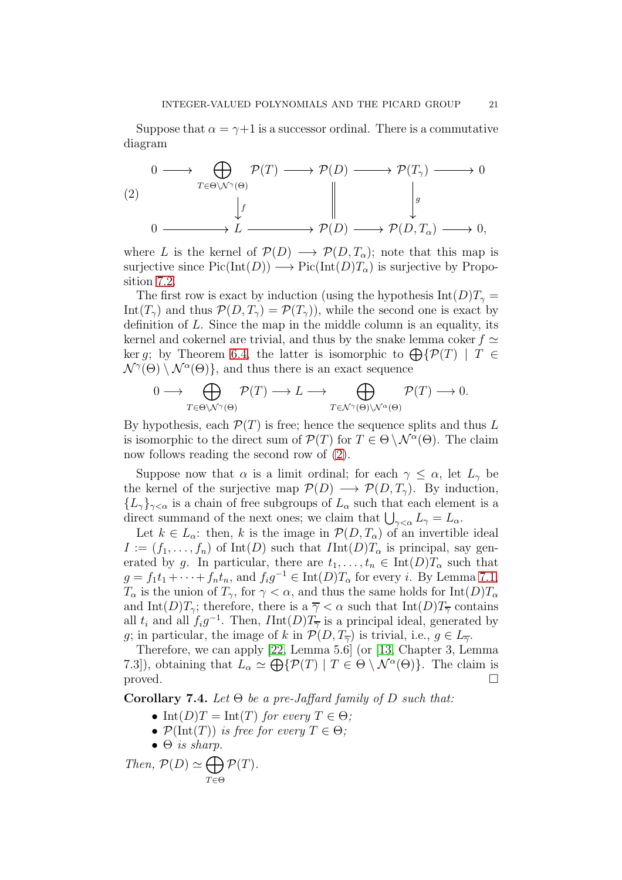Suppose that  $\alpha = \gamma + 1$  is a successor ordinal. There is a commutative diagram

<span id="page-20-0"></span>
$$
\begin{array}{ccc}\n & 0 \longrightarrow & \bigoplus_{T \in \Theta \setminus \mathcal{N}^{\gamma}(\Theta)} \mathcal{P}(T) \longrightarrow \mathcal{P}(D) \longrightarrow & \mathcal{P}(T_{\gamma}) \longrightarrow 0 \\
 & & \downarrow f & & \downarrow g \\
0 \longrightarrow & L \longrightarrow & \mathcal{P}(D) \longrightarrow & \mathcal{P}(D, T_{\alpha}) \longrightarrow 0,\n\end{array}
$$

where L is the kernel of  $\mathcal{P}(D) \longrightarrow \mathcal{P}(D, T_{\alpha})$ ; note that this map is surjective since  $Pic(Int(D)) \longrightarrow Pic(Int(D)T_{\alpha})$  is surjective by Proposition [7.2.](#page-19-0)

The first row is exact by induction (using the hypothesis  $Int(D)T_{\gamma} =$ Int( $T_{\gamma}$ ) and thus  $\mathcal{P}(D, T_{\gamma}) = \mathcal{P}(T_{\gamma})$ , while the second one is exact by definition of  $L$ . Since the map in the middle column is an equality, its kernel and cokernel are trivial, and thus by the snake lemma coker  $f \simeq$ ker q; by Theorem [6.4,](#page-17-0) the latter is isomorphic to  $\bigoplus \{P(T) \mid T \in$  $\mathcal{N}^{\gamma}(\Theta) \setminus \mathcal{N}^{\alpha}(\Theta)$ , and thus there is an exact sequence

$$
0\longrightarrow\bigoplus_{T\in\Theta\backslash\mathcal{N}^{\gamma}(\Theta)}\mathcal{P}(T)\longrightarrow L\longrightarrow\bigoplus_{T\in\mathcal{N}^{\gamma}(\Theta)\backslash\mathcal{N}^{\alpha}(\Theta)}\mathcal{P}(T)\longrightarrow0.
$$

By hypothesis, each  $\mathcal{P}(T)$  is free; hence the sequence splits and thus L is isomorphic to the direct sum of  $\mathcal{P}(T)$  for  $T \in \Theta \setminus \mathcal{N}^{\alpha}(\Theta)$ . The claim now follows reading the second row of [\(2\)](#page-20-0).

Suppose now that  $\alpha$  is a limit ordinal; for each  $\gamma \leq \alpha$ , let  $L_{\gamma}$  be the kernel of the surjective map  $\mathcal{P}(D) \longrightarrow \mathcal{P}(D, T_{\gamma})$ . By induction,  ${L_{\gamma}}_{\gamma<\alpha}$  is a chain of free subgroups of  $L_{\alpha}$  such that each element is a direct summand of the next ones; we claim that  $\bigcup_{\gamma<\alpha} L_{\gamma}=L_{\alpha}$ .

Let  $k \in L_{\alpha}$ : then, k is the image in  $\mathcal{P}(D, T_{\alpha})$  of an invertible ideal  $I := (f_1, \ldots, f_n)$  of Int(D) such that  $I \text{Int}(D) T_\alpha$  is principal, say generated by g. In particular, there are  $t_1, \ldots, t_n \in \text{Int}(D)T_\alpha$  such that  $g = f_1t_1 + \cdots + f_nt_n$ , and  $f_ig^{-1} \in \text{Int}(D)T_\alpha$  for every *i*. By Lemma [7.1,](#page-18-1)  $T_{\alpha}$  is the union of  $T_{\gamma}$ , for  $\gamma < \alpha$ , and thus the same holds for Int $(D)T_{\alpha}$ and Int(D)T<sub>γ</sub>; therefore, there is a  $\overline{\gamma} < \alpha$  such that Int(D)T<sub>γ</sub> contains all  $t_i$  and all  $f_i g^{-1}$ . Then,  $I Int(D) T_{\overline{\gamma}}$  is a principal ideal, generated by q; in particular, the image of k in  $\mathcal{P}(D, T_{\overline{\gamma}})$  is trivial, i.e.,  $q \in L_{\overline{\gamma}}$ .

Therefore, we can apply [\[22,](#page-22-18) Lemma 5.6] (or [\[13,](#page-22-19) Chapter 3, Lemma 7.3]), obtaining that  $L_{\alpha} \simeq \bigoplus \{ \mathcal{P}(T) \mid T \in \Theta \setminus \mathcal{N}^{\alpha}(\Theta) \}.$  The claim is proved.  $\Box$ 

<span id="page-20-1"></span>Corollary 7.4. Let  $\Theta$  be a pre-Jaffard family of D such that:

- Int(D)T = Int(T) for every  $T \in \Theta$ ;
- $\mathcal{P}(\text{Int}(T))$  is free for every  $T \in \Theta$ ;
- $\bullet$   $\Theta$  is sharp.

Then, 
$$
\mathcal{P}(D) \simeq \bigoplus_{T \in \Theta} \mathcal{P}(T)
$$
.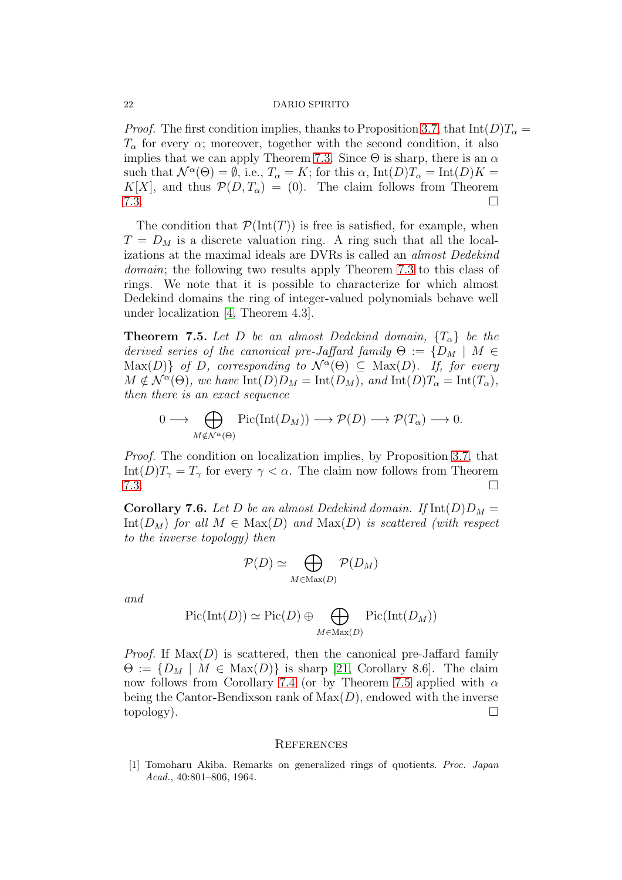*Proof.* The first condition implies, thanks to Proposition [3.7,](#page-7-0) that  $Int(D)T_{\alpha} =$  $T_{\alpha}$  for every  $\alpha$ ; moreover, together with the second condition, it also implies that we can apply Theorem [7.3.](#page-19-1) Since  $\Theta$  is sharp, there is an  $\alpha$ such that  $\mathcal{N}^{\alpha}(\Theta) = \emptyset$ , i.e.,  $T_{\alpha} = K$ ; for this  $\alpha$ ,  $\text{Int}(D)T_{\alpha} = \text{Int}(D)K =$ K[X], and thus  $\mathcal{P}(D, T_{\alpha}) = (0)$ . The claim follows from Theorem  $7.3.$ 

The condition that  $\mathcal{P}(\text{Int}(T))$  is free is satisfied, for example, when  $T = D_M$  is a discrete valuation ring. A ring such that all the localizations at the maximal ideals are DVRs is called an almost Dedekind domain; the following two results apply Theorem [7.3](#page-19-1) to this class of rings. We note that it is possible to characterize for which almost Dedekind domains the ring of integer-valued polynomials behave well under localization [\[4,](#page-22-20) Theorem 4.3].

<span id="page-21-2"></span>**Theorem 7.5.** Let D be an almost Dedekind domain,  $\{T_{\alpha}\}\$  be the derived series of the canonical pre-Jaffard family  $\Theta := \{D_M \mid M \in$  $\text{Max}(D)$  of D, corresponding to  $\mathcal{N}^{\alpha}(\Theta) \subseteq \text{Max}(D)$ . If, for every  $M \notin \mathcal{N}^{\alpha}(\Theta)$ , we have  $\text{Int}(D)D_M = \text{Int}(D_M)$ , and  $\text{Int}(D)T_{\alpha} = \text{Int}(T_{\alpha})$ , then there is an exact sequence

$$
0 \longrightarrow \bigoplus_{M \notin \mathcal{N}^{\alpha}(\Theta)} \mathrm{Pic}(\mathrm{Int}(D_M)) \longrightarrow \mathcal{P}(D) \longrightarrow \mathcal{P}(T_{\alpha}) \longrightarrow 0.
$$

Proof. The condition on localization implies, by Proposition [3.7,](#page-7-0) that Int(D) $T_{\gamma} = T_{\gamma}$  for every  $\gamma < \alpha$ . The claim now follows from Theorem  $7.3.$ 

<span id="page-21-0"></span>**Corollary 7.6.** Let D be an almost Dedekind domain. If  $Int(D)D_M =$ Int( $D_M$ ) for all  $M \in Max(D)$  and  $Max(D)$  is scattered (with respect to the inverse topology) then

$$
\mathcal{P}(D) \simeq \bigoplus_{M \in \text{Max}(D)} \mathcal{P}(D_M)
$$

and

$$
\mathrm{Pic}(\mathrm{Int}(D)) \simeq \mathrm{Pic}(D) \oplus \bigoplus_{M \in \mathrm{Max}(D)} \mathrm{Pic}(\mathrm{Int}(D_M))
$$

*Proof.* If  $Max(D)$  is scattered, then the canonical pre-Jaffard family  $\Theta := \{D_M \mid M \in \text{Max}(D)\}\$ is sharp [\[21,](#page-22-10) Corollary 8.6]. The claim now follows from Corollary [7.4](#page-20-1) (or by Theorem [7.5](#page-21-2) applied with  $\alpha$ being the Cantor-Bendixson rank of  $Max(D)$ , endowed with the inverse  $\Box$ topology).

## **REFERENCES**

<span id="page-21-1"></span>[1] Tomoharu Akiba. Remarks on generalized rings of quotients. *Proc. Japan Acad.*, 40:801–806, 1964.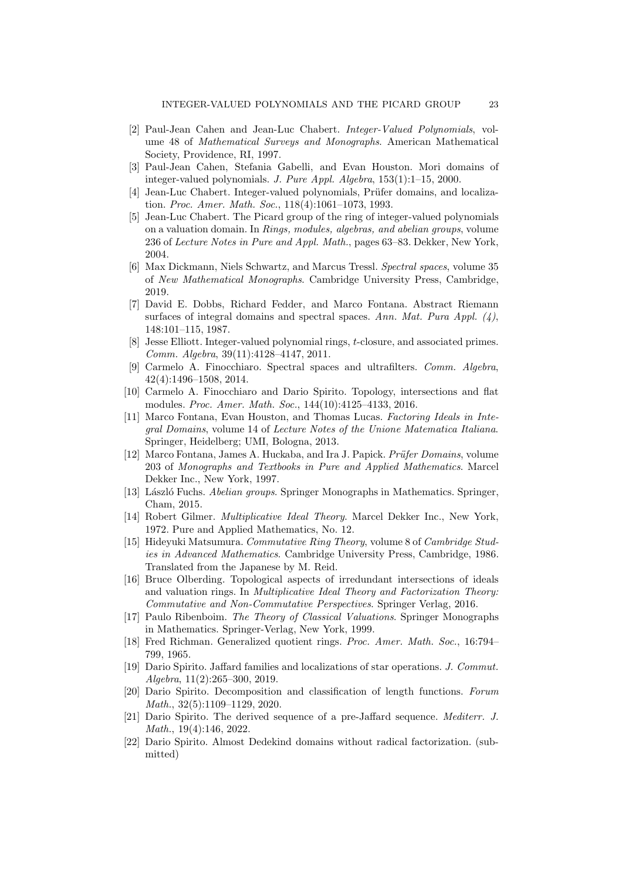- <span id="page-22-0"></span>[2] Paul-Jean Cahen and Jean-Luc Chabert. *Integer-Valued Polynomials*, volume 48 of *Mathematical Surveys and Monographs*. American Mathematical Society, Providence, RI, 1997.
- <span id="page-22-1"></span>[3] Paul-Jean Cahen, Stefania Gabelli, and Evan Houston. Mori domains of integer-valued polynomials. *J. Pure Appl. Algebra*, 153(1):1–15, 2000.
- <span id="page-22-20"></span>[4] Jean-Luc Chabert. Integer-valued polynomials, Prüfer domains, and localization. *Proc. Amer. Math. Soc.*, 118(4):1061–1073, 1993.
- <span id="page-22-16"></span>[5] Jean-Luc Chabert. The Picard group of the ring of integer-valued polynomials on a valuation domain. In *Rings, modules, algebras, and abelian groups*, volume 236 of *Lecture Notes in Pure and Appl. Math.*, pages 63–83. Dekker, New York, 2004.
- <span id="page-22-8"></span>[6] Max Dickmann, Niels Schwartz, and Marcus Tressl. *Spectral spaces*, volume 35 of *New Mathematical Monographs*. Cambridge University Press, Cambridge, 2019.
- <span id="page-22-5"></span>[7] David E. Dobbs, Richard Fedder, and Marco Fontana. Abstract Riemann surfaces of integral domains and spectral spaces. *Ann. Mat. Pura Appl. (4)*, 148:101–115, 1987.
- <span id="page-22-2"></span>[8] Jesse Elliott. Integer-valued polynomial rings, t-closure, and associated primes. *Comm. Algebra*, 39(11):4128–4147, 2011.
- <span id="page-22-6"></span>[9] Carmelo A. Finocchiaro. Spectral spaces and ultrafilters. *Comm. Algebra*, 42(4):1496–1508, 2014.
- <span id="page-22-9"></span>[10] Carmelo A. Finocchiaro and Dario Spirito. Topology, intersections and flat modules. *Proc. Amer. Math. Soc.*, 144(10):4125–4133, 2016.
- <span id="page-22-11"></span>[11] Marco Fontana, Evan Houston, and Thomas Lucas. *Factoring Ideals in Integral Domains*, volume 14 of *Lecture Notes of the Unione Matematica Italiana*. Springer, Heidelberg; UMI, Bologna, 2013.
- <span id="page-22-15"></span>[12] Marco Fontana, James A. Huckaba, and Ira J. Papick. *Prüfer Domains*, volume 203 of *Monographs and Textbooks in Pure and Applied Mathematics*. Marcel Dekker Inc., New York, 1997.
- <span id="page-22-19"></span>[13] L´aszl´o Fuchs. *Abelian groups*. Springer Monographs in Mathematics. Springer, Cham, 2015.
- <span id="page-22-14"></span>[14] Robert Gilmer. *Multiplicative Ideal Theory*. Marcel Dekker Inc., New York, 1972. Pure and Applied Mathematics, No. 12.
- <span id="page-22-4"></span>[15] Hideyuki Matsumura. *Commutative Ring Theory*, volume 8 of *Cambridge Studies in Advanced Mathematics*. Cambridge University Press, Cambridge, 1986. Translated from the Japanese by M. Reid.
- <span id="page-22-7"></span>[16] Bruce Olberding. Topological aspects of irredundant intersections of ideals and valuation rings. In *Multiplicative Ideal Theory and Factorization Theory: Commutative and Non-Commutative Perspectives*. Springer Verlag, 2016.
- <span id="page-22-17"></span>[17] Paulo Ribenboim. *The Theory of Classical Valuations*. Springer Monographs in Mathematics. Springer-Verlag, New York, 1999.
- <span id="page-22-3"></span>[18] Fred Richman. Generalized quotient rings. *Proc. Amer. Math. Soc.*, 16:794– 799, 1965.
- <span id="page-22-12"></span>[19] Dario Spirito. Jaffard families and localizations of star operations. *J. Commut. Algebra*, 11(2):265–300, 2019.
- <span id="page-22-13"></span>[20] Dario Spirito. Decomposition and classification of length functions. *Forum Math.*, 32(5):1109–1129, 2020.
- <span id="page-22-10"></span>[21] Dario Spirito. The derived sequence of a pre-Jaffard sequence. *Mediterr. J. Math.*, 19(4):146, 2022.
- <span id="page-22-18"></span>[22] Dario Spirito. Almost Dedekind domains without radical factorization. (submitted)